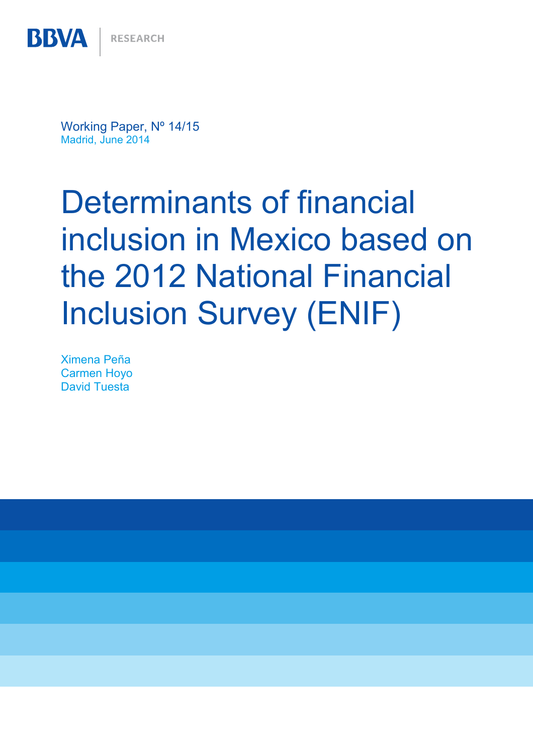Working Paper, Nº 14/15 Madrid, June 2014

# Determinants of financial inclusion in Mexico based on the 2012 National Financial Inclusion Survey (ENIF)

Ximena Peña Carmen Hoyo David Tuesta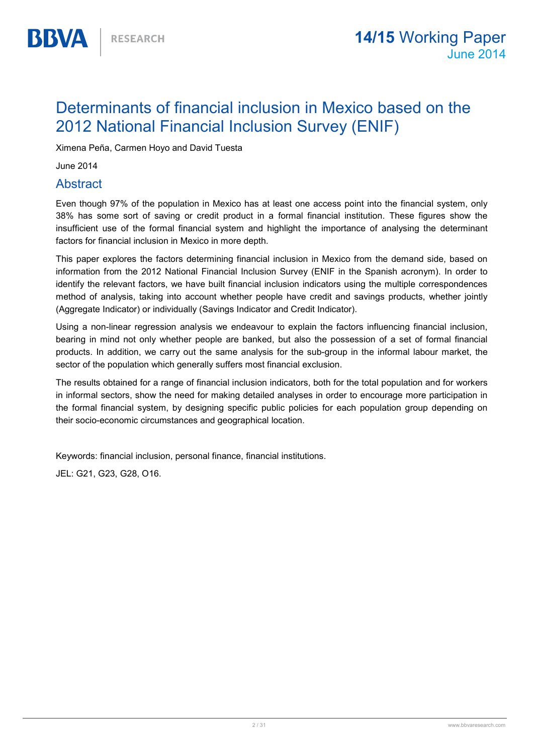## Determinants of financial inclusion in Mexico based on the 2012 National Financial Inclusion Survey (ENIF)

Ximena Peña, Carmen Hoyo and David Tuesta

June 2014

**BBVA** 

#### Abstract

Even though 97% of the population in Mexico has at least one access point into the financial system, only 38% has some sort of saving or credit product in a formal financial institution. These figures show the insufficient use of the formal financial system and highlight the importance of analysing the determinant factors for financial inclusion in Mexico in more depth.

This paper explores the factors determining financial inclusion in Mexico from the demand side, based on information from the 2012 National Financial Inclusion Survey (ENIF in the Spanish acronym). In order to identify the relevant factors, we have built financial inclusion indicators using the multiple correspondences method of analysis, taking into account whether people have credit and savings products, whether jointly (Aggregate Indicator) or individually (Savings Indicator and Credit Indicator).

Using a non-linear regression analysis we endeavour to explain the factors influencing financial inclusion, bearing in mind not only whether people are banked, but also the possession of a set of formal financial products. In addition, we carry out the same analysis for the sub-group in the informal labour market, the sector of the population which generally suffers most financial exclusion.

The results obtained for a range of financial inclusion indicators, both for the total population and for workers in informal sectors, show the need for making detailed analyses in order to encourage more participation in the formal financial system, by designing specific public policies for each population group depending on their socio-economic circumstances and geographical location.

Keywords: financial inclusion, personal finance, financial institutions.

JEL: G21, G23, G28, O16.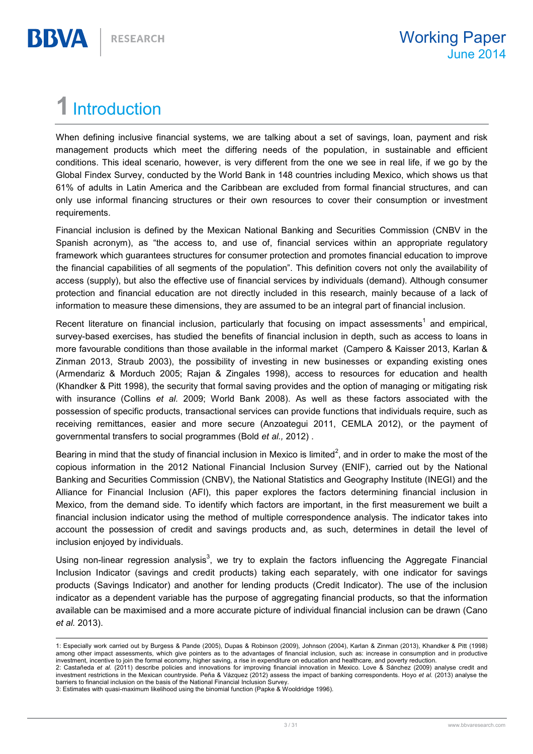## 1 Introduction

BBVA

When defining inclusive financial systems, we are talking about a set of savings, loan, payment and risk management products which meet the differing needs of the population, in sustainable and efficient conditions. This ideal scenario, however, is very different from the one we see in real life, if we go by the Global Findex Survey, conducted by the World Bank in 148 countries including Mexico, which shows us that 61% of adults in Latin America and the Caribbean are excluded from formal financial structures, and can only use informal financing structures or their own resources to cover their consumption or investment requirements.

Financial inclusion is defined by the Mexican National Banking and Securities Commission (CNBV in the Spanish acronym), as "the access to, and use of, financial services within an appropriate regulatory framework which guarantees structures for consumer protection and promotes financial education to improve the financial capabilities of all segments of the population". This definition covers not only the availability of access (supply), but also the effective use of financial services by individuals (demand). Although consumer protection and financial education are not directly included in this research, mainly because of a lack of information to measure these dimensions, they are assumed to be an integral part of financial inclusion.

Recent literature on financial inclusion, particularly that focusing on impact assessments<sup>1</sup> and empirical, survey-based exercises, has studied the benefits of financial inclusion in depth, such as access to loans in more favourable conditions than those available in the informal market (Campero & Kaisser 2013, Karlan & Zinman 2013, Straub 2003), the possibility of investing in new businesses or expanding existing ones (Armendariz & Morduch 2005; Rajan & Zingales 1998), access to resources for education and health (Khandker & Pitt 1998), the security that formal saving provides and the option of managing or mitigating risk with insurance (Collins et al. 2009; World Bank 2008). As well as these factors associated with the possession of specific products, transactional services can provide functions that individuals require, such as receiving remittances, easier and more secure (Anzoategui 2011, CEMLA 2012), or the payment of governmental transfers to social programmes (Bold et al., 2012) .

Bearing in mind that the study of financial inclusion in Mexico is limited<sup>2</sup>, and in order to make the most of the copious information in the 2012 National Financial Inclusion Survey (ENIF), carried out by the National Banking and Securities Commission (CNBV), the National Statistics and Geography Institute (INEGI) and the Alliance for Financial Inclusion (AFI), this paper explores the factors determining financial inclusion in Mexico, from the demand side. To identify which factors are important, in the first measurement we built a financial inclusion indicator using the method of multiple correspondence analysis. The indicator takes into account the possession of credit and savings products and, as such, determines in detail the level of inclusion enjoyed by individuals.

Using non-linear regression analysis<sup>3</sup>, we try to explain the factors influencing the Aggregate Financial Inclusion Indicator (savings and credit products) taking each separately, with one indicator for savings products (Savings Indicator) and another for lending products (Credit Indicator). The use of the inclusion indicator as a dependent variable has the purpose of aggregating financial products, so that the information available can be maximised and a more accurate picture of individual financial inclusion can be drawn (Cano et al. 2013).

<sup>1:</sup> Especially work carried out by Burgess & Pande (2005), Dupas & Robinson (2009), Johnson (2004), Karlan & Zinman (2013), Khandker & Pitt (1998) among other impact assessments, which give pointers as to the advantages of financial inclusion, such as: increase in consumption and in productive investment, incentive to join the formal economy, higher saving, a rise in expenditure on education and healthcare, and poverty reduction.

<sup>2:</sup> Castañeda et al. (2011) describe policies and innovations for improving financial innovation in Mexico. Love & Sánchez (2009) analyse credit and investment restrictions in the Mexican countryside. Peña & Vázquez (2012) assess the impact of banking correspondents. Hoyo et al. (2013) analyse the barriers to financial inclusion on the basis of the National Financial Inclusion Survey.

<sup>3:</sup> Estimates with quasi-maximum likelihood using the binomial function (Papke & Wooldridge 1996).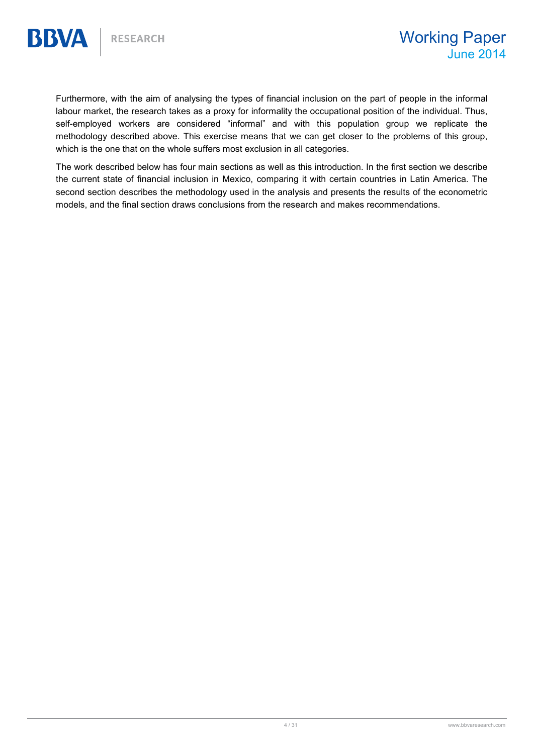Furthermore, with the aim of analysing the types of financial inclusion on the part of people in the informal labour market, the research takes as a proxy for informality the occupational position of the individual. Thus, self-employed workers are considered "informal" and with this population group we replicate the methodology described above. This exercise means that we can get closer to the problems of this group, which is the one that on the whole suffers most exclusion in all categories.

The work described below has four main sections as well as this introduction. In the first section we describe the current state of financial inclusion in Mexico, comparing it with certain countries in Latin America. The second section describes the methodology used in the analysis and presents the results of the econometric models, and the final section draws conclusions from the research and makes recommendations.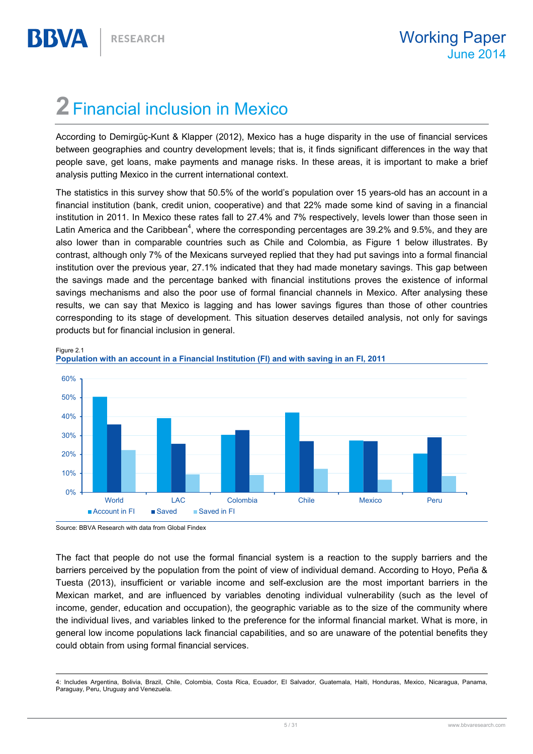BBWA

## 2 Financial inclusion in Mexico

According to Demirgüç-Kunt & Klapper (2012), Mexico has a huge disparity in the use of financial services between geographies and country development levels; that is, it finds significant differences in the way that people save, get loans, make payments and manage risks. In these areas, it is important to make a brief analysis putting Mexico in the current international context.

The statistics in this survey show that 50.5% of the world's population over 15 years-old has an account in a financial institution (bank, credit union, cooperative) and that 22% made some kind of saving in a financial institution in 2011. In Mexico these rates fall to 27.4% and 7% respectively, levels lower than those seen in Latin America and the Caribbean<sup>4</sup>, where the corresponding percentages are 39.2% and 9.5%, and they are also lower than in comparable countries such as Chile and Colombia, as Figure 1 below illustrates. By contrast, although only 7% of the Mexicans surveyed replied that they had put savings into a formal financial institution over the previous year, 27.1% indicated that they had made monetary savings. This gap between the savings made and the percentage banked with financial institutions proves the existence of informal savings mechanisms and also the poor use of formal financial channels in Mexico. After analysing these results, we can say that Mexico is lagging and has lower savings figures than those of other countries corresponding to its stage of development. This situation deserves detailed analysis, not only for savings products but for financial inclusion in general.





Source: BBVA Research with data from Global Findex

The fact that people do not use the formal financial system is a reaction to the supply barriers and the barriers perceived by the population from the point of view of individual demand. According to Hoyo, Peña & Tuesta (2013), insufficient or variable income and self-exclusion are the most important barriers in the Mexican market, and are influenced by variables denoting individual vulnerability (such as the level of income, gender, education and occupation), the geographic variable as to the size of the community where the individual lives, and variables linked to the preference for the informal financial market. What is more, in general low income populations lack financial capabilities, and so are unaware of the potential benefits they could obtain from using formal financial services.

 4: Includes Argentina, Bolivia, Brazil, Chile, Colombia, Costa Rica, Ecuador, El Salvador, Guatemala, Haiti, Honduras, Mexico, Nicaragua, Panama, Paraguay, Peru, Uruguay and Venezuela.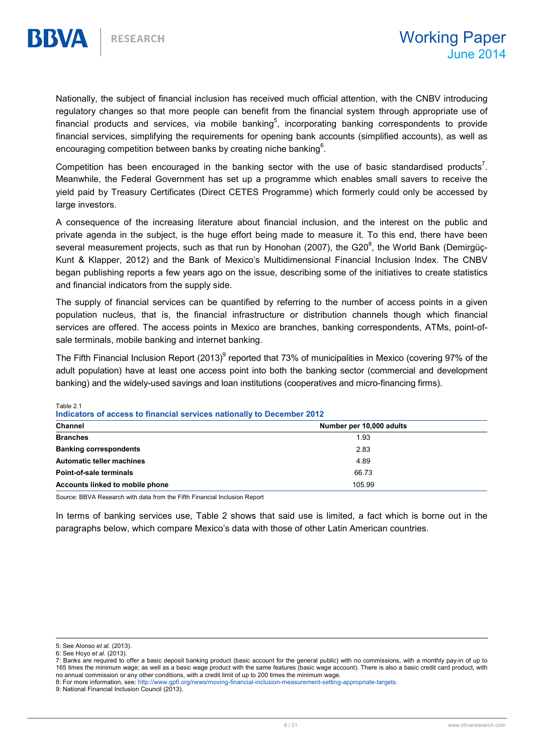Nationally, the subject of financial inclusion has received much official attention, with the CNBV introducing regulatory changes so that more people can benefit from the financial system through appropriate use of financial products and services, via mobile banking<sup>5</sup>, incorporating banking correspondents to provide financial services, simplifying the requirements for opening bank accounts (simplified accounts), as well as encouraging competition between banks by creating niche banking $^6$ .

Competition has been encouraged in the banking sector with the use of basic standardised products<sup>7</sup>. Meanwhile, the Federal Government has set up a programme which enables small savers to receive the yield paid by Treasury Certificates (Direct CETES Programme) which formerly could only be accessed by large investors.

A consequence of the increasing literature about financial inclusion, and the interest on the public and private agenda in the subject, is the huge effort being made to measure it. To this end, there have been several measurement projects, such as that run by Honohan (2007), the G20<sup>8</sup>, the World Bank (Demirgüç-Kunt & Klapper, 2012) and the Bank of Mexico's Multidimensional Financial Inclusion Index. The CNBV began publishing reports a few years ago on the issue, describing some of the initiatives to create statistics and financial indicators from the supply side.

The supply of financial services can be quantified by referring to the number of access points in a given population nucleus, that is, the financial infrastructure or distribution channels though which financial services are offered. The access points in Mexico are branches, banking correspondents, ATMs, point-ofsale terminals, mobile banking and internet banking.

The Fifth Financial Inclusion Report (2013)<sup>9</sup> reported that 73% of municipalities in Mexico (covering 97% of the adult population) have at least one access point into both the banking sector (commercial and development banking) and the widely-used savings and loan institutions (cooperatives and micro-financing firms).

Table 2.1

Indicators of access to financial services nationally to December 2012

| Channel                          | Number per 10,000 adults |
|----------------------------------|--------------------------|
| <b>Branches</b>                  | 1.93                     |
| <b>Banking correspondents</b>    | 2.83                     |
| <b>Automatic teller machines</b> | 4.89                     |
| Point-of-sale terminals          | 66.73                    |
| Accounts linked to mobile phone  | 105.99                   |

Source: BBVA Research with data from the Fifth Financial Inclusion Report

In terms of banking services use, Table 2 shows that said use is limited, a fact which is borne out in the paragraphs below, which compare Mexico's data with those of other Latin American countries.

<sup>5:</sup> See Alonso et al. (2013).

<sup>6:</sup> See Hoyo et al. (2013).

<sup>7:</sup> Banks are required to offer a basic deposit banking product (basic account for the general public) with no commissions, with a monthly pay-in of up to 165 times the minimum wage; as well as a basic wage product with the same features (basic wage account). There is also a basic credit card product, with no annual commission or any other conditions, with a credit limit of up to 200 times the minimum wage.

<sup>8:</sup> For more information, see: http://www.gpfi.org/news/moving-financial-inclusion-measurement-setting-appropriate-targets.

<sup>9:</sup> National Financial Inclusion Council (2013).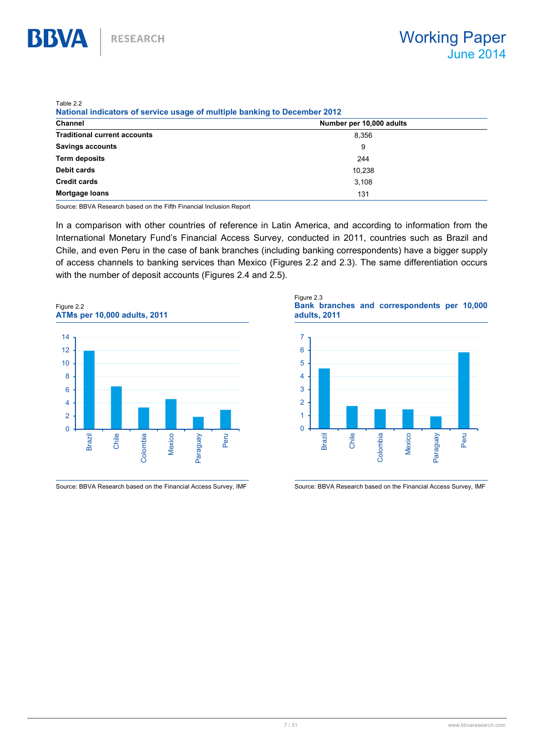$T$ <sub>r</sub> $H_2$ , 22

**BBVA** 

| ADEZZ<br><b>National indicators of service usage of multiple banking to December 2012</b> |                          |
|-------------------------------------------------------------------------------------------|--------------------------|
| Channel                                                                                   | Number per 10,000 adults |
| <b>Traditional current accounts</b>                                                       | 8.356                    |
| <b>Savings accounts</b>                                                                   | 9                        |
| Term deposits                                                                             | 244                      |
| Debit cards                                                                               | 10.238                   |
| <b>Credit cards</b>                                                                       | 3.108                    |
| <b>Mortgage loans</b>                                                                     | 131                      |
|                                                                                           |                          |

Source: BBVA Research based on the Fifth Financial Inclusion Report

In a comparison with other countries of reference in Latin America, and according to information from the International Monetary Fund's Financial Access Survey, conducted in 2011, countries such as Brazil and Chile, and even Peru in the case of bank branches (including banking correspondents) have a bigger supply of access channels to banking services than Mexico (Figures 2.2 and 2.3). The same differentiation occurs with the number of deposit accounts (Figures 2.4 and 2.5).



Source: BBVA Research based on the Financial Access Survey, IMF Source: BBVA Research based on the Financial Access Survey, IMF

Figure 2.3 Bank branches and correspondents per 10,000 adults, 2011

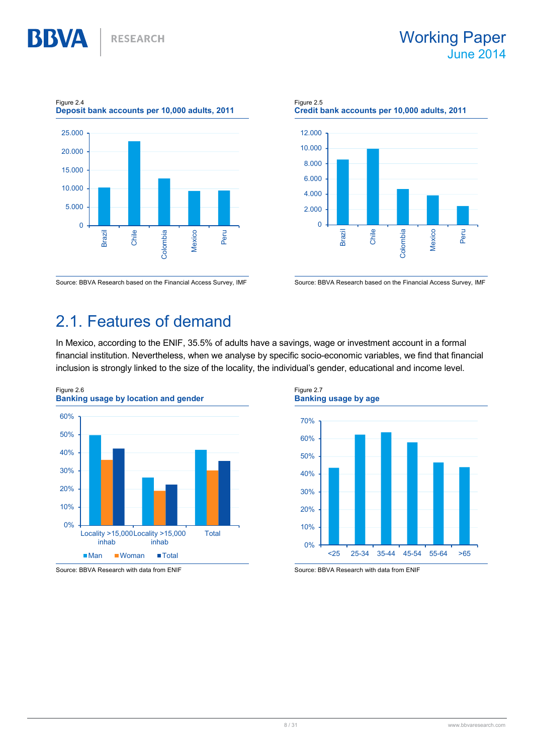

Figure 2.5 Credit bank accounts per 10,000 adults, 2011  $\overline{0}$ 2.000 4.000 6.000 8.000 10.000 12.000 Brazil Chile Colombia Mexico Peru

Source: BBVA Research based on the Financial Access Survey, IMF Source: BBVA Research based on the Financial Access Survey, IMF

## 2.1. Features of demand

In Mexico, according to the ENIF, 35.5% of adults have a savings, wage or investment account in a formal financial institution. Nevertheless, when we analyse by specific socio-economic variables, we find that financial inclusion is strongly linked to the size of the locality, the individual's gender, educational and income level.



Source: BBVA Research with data from ENIF Source: BBVA Research with data from ENIF

Figure 2.7 Banking usage by age 0% 10% 20% 30% 40% 50% 60% 70% <25 25-34 35-44 45-54 55-64 >65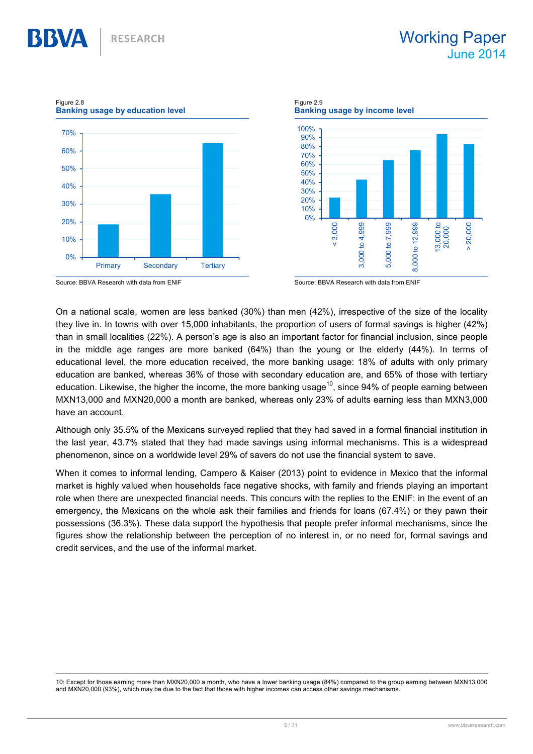13,000 to 20,000 > 20,000

Figure 2.9 Banking usage by education level Banking usage by income level 100% 70% 90% 80% 60% 70% 60% 50% 50% 40% 40% 30% 20% 30% 10% 0% 20% < 3,000 000 to 4,999 000 to 7,999 000 to 12,999 8,000 to 12,999 10% 0% Primary Secondary Tertiary  $\alpha$ 

Figure 2.8

On a national scale, women are less banked (30%) than men (42%), irrespective of the size of the locality they live in. In towns with over 15,000 inhabitants, the proportion of users of formal savings is higher (42%) than in small localities (22%). A person's age is also an important factor for financial inclusion, since people in the middle age ranges are more banked (64%) than the young or the elderly (44%). In terms of educational level, the more education received, the more banking usage: 18% of adults with only primary education are banked, whereas 36% of those with secondary education are, and 65% of those with tertiary education. Likewise, the higher the income, the more banking usage<sup>10</sup>, since 94% of people earning between MXN13,000 and MXN20,000 a month are banked, whereas only 23% of adults earning less than MXN3,000 have an account.

Although only 35.5% of the Mexicans surveyed replied that they had saved in a formal financial institution in the last year, 43.7% stated that they had made savings using informal mechanisms. This is a widespread phenomenon, since on a worldwide level 29% of savers do not use the financial system to save.

When it comes to informal lending, Campero & Kaiser (2013) point to evidence in Mexico that the informal market is highly valued when households face negative shocks, with family and friends playing an important role when there are unexpected financial needs. This concurs with the replies to the ENIF: in the event of an emergency, the Mexicans on the whole ask their families and friends for loans (67.4%) or they pawn their possessions (36.3%). These data support the hypothesis that people prefer informal mechanisms, since the figures show the relationship between the perception of no interest in, or no need for, formal savings and credit services, and the use of the informal market.

 10: Except for those earning more than MXN20,000 a month, who have a lower banking usage (84%) compared to the group earning between MXN13,000 and MXN20,000 (93%), which may be due to the fact that those with higher incomes can access other savings mechanisms.

Source: BBVA Research with data from ENIF Source: BBVA Research with data from ENIF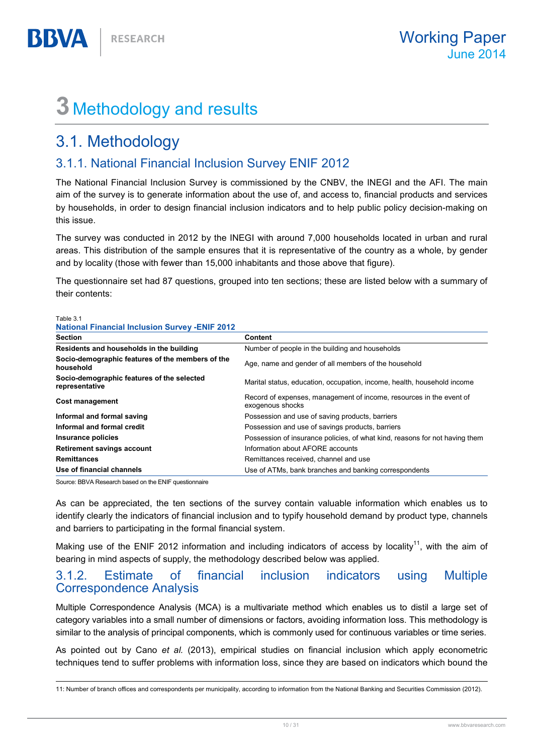## 3 Methodology and results

## 3.1. Methodology

Table 3.1

**BBVA** 

### 3.1.1. National Financial Inclusion Survey ENIF 2012

The National Financial Inclusion Survey is commissioned by the CNBV, the INEGI and the AFI. The main aim of the survey is to generate information about the use of, and access to, financial products and services by households, in order to design financial inclusion indicators and to help public policy decision-making on this issue.

The survey was conducted in 2012 by the INEGI with around 7,000 households located in urban and rural areas. This distribution of the sample ensures that it is representative of the country as a whole, by gender and by locality (those with fewer than 15,000 inhabitants and those above that figure).

The questionnaire set had 87 questions, grouped into ten sections; these are listed below with a summary of their contents:

| <b>National Financial Inclusion Survey -ENIF 2012</b>         |                                                                                         |
|---------------------------------------------------------------|-----------------------------------------------------------------------------------------|
| <b>Section</b>                                                | Content                                                                                 |
| Residents and households in the building                      | Number of people in the building and households                                         |
| Socio-demographic features of the members of the<br>household | Age, name and gender of all members of the household                                    |
| Socio-demographic features of the selected<br>representative  | Marital status, education, occupation, income, health, household income                 |
| Cost management                                               | Record of expenses, management of income, resources in the event of<br>exogenous shocks |
| Informal and formal saving                                    | Possession and use of saving products, barriers                                         |
| Informal and formal credit                                    | Possession and use of savings products, barriers                                        |
| Insurance policies                                            | Possession of insurance policies, of what kind, reasons for not having them             |
| <b>Retirement savings account</b>                             | Information about AFORE accounts                                                        |
| <b>Remittances</b>                                            | Remittances received, channel and use                                                   |
| Use of financial channels                                     | Use of ATMs, bank branches and banking correspondents                                   |

Source: BBVA Research based on the ENIF questionnaire

As can be appreciated, the ten sections of the survey contain valuable information which enables us to identify clearly the indicators of financial inclusion and to typify household demand by product type, channels and barriers to participating in the formal financial system.

Making use of the ENIF 2012 information and including indicators of access by locality<sup>11</sup>, with the aim of bearing in mind aspects of supply, the methodology described below was applied.

#### 3.1.2. Estimate of financial inclusion indicators using Multiple Correspondence Analysis

Multiple Correspondence Analysis (MCA) is a multivariate method which enables us to distil a large set of category variables into a small number of dimensions or factors, avoiding information loss. This methodology is similar to the analysis of principal components, which is commonly used for continuous variables or time series.

As pointed out by Cano et al. (2013), empirical studies on financial inclusion which apply econometric techniques tend to suffer problems with information loss, since they are based on indicators which bound the

 $\overline{a}$ 11: Number of branch offices and correspondents per municipality, according to information from the National Banking and Securities Commission (2012).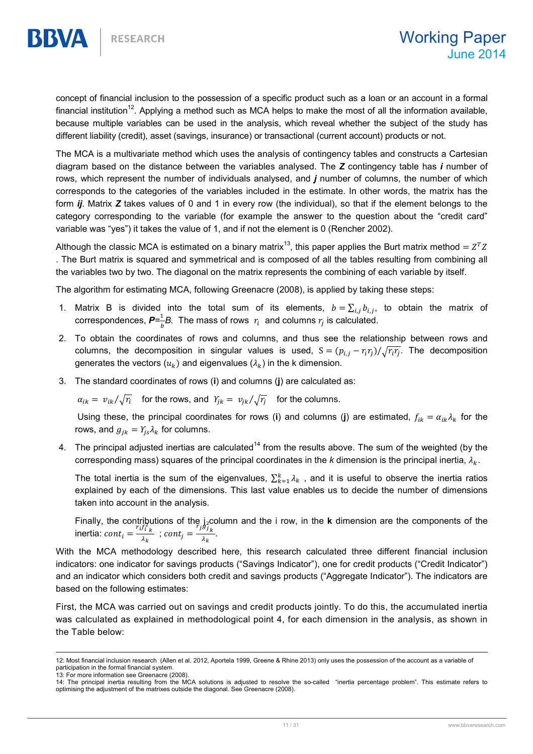concept of financial inclusion to the possession of a specific product such as a loan or an account in a formal financial institution<sup>12</sup>. Applying a method such as MCA helps to make the most of all the information available, because multiple variables can be used in the analysis, which reveal whether the subject of the study has different liability (credit), asset (savings, insurance) or transactional (current account) products or not.

The MCA is a multivariate method which uses the analysis of contingency tables and constructs a Cartesian diagram based on the distance between the variables analysed. The  $Z$  contingency table has  $i$  number of rows, which represent the number of individuals analysed, and j number of columns, the number of which corresponds to the categories of the variables included in the estimate. In other words, the matrix has the form *ij*. Matrix Z takes values of 0 and 1 in every row (the individual), so that if the element belongs to the category corresponding to the variable (for example the answer to the question about the "credit card" variable was "yes") it takes the value of 1, and if not the element is 0 (Rencher 2002).

Although the classic MCA is estimated on a binary matrix<sup>13</sup>, this paper applies the Burt matrix method =  $Z^TZ$ . The Burt matrix is squared and symmetrical and is composed of all the tables resulting from combining all the variables two by two. The diagonal on the matrix represents the combining of each variable by itself.

The algorithm for estimating MCA, following Greenacre (2008), is applied by taking these steps:

- 1. Matrix B is divided into the total sum of its elements,  $b = \sum_{i,j} b_{i,j}$ , to obtain the matrix of correspondences,  $\bm{P}=\frac{1}{h}$  $\frac{1}{b}$ B. The mass of rows  $r_i$  and columns  $r_j$  is calculated.
- 2. To obtain the coordinates of rows and columns, and thus see the relationship between rows and columns, the decomposition in singular values is used,  $S = (p_{i,j} - r_i r_j) / \sqrt{r_i r_j}$ . The decomposition generates the vectors  $(u_k)$  and eigenvalues  $(\lambda_k)$  in the k dimension.
- 3. The standard coordinates of rows (i) and columns (j) are calculated as:

 $\alpha_{ik} = v_{ik}/\sqrt{r_i}$  for the rows, and  $Y_{jk} = v_{jk}/\sqrt{r_j}$  for the columns.

Using these, the principal coordinates for rows (i) and columns (j) are estimated,  $f_{ik} = \alpha_{ik} \lambda_k$  for the rows, and  $g_{ik} = Y_{is} \lambda_k$  for columns.

4. The principal adjusted inertias are calculated<sup>14</sup> from the results above. The sum of the weighted (by the corresponding mass) squares of the principal coordinates in the k dimension is the principal inertia,  $\lambda_k$ .

The total inertia is the sum of the eigenvalues,  $\sum_{k=1}^{k} \lambda_k$ , and it is useful to observe the inertia ratios explained by each of the dimensions. This last value enables us to decide the number of dimensions taken into account in the analysis.

Finally, the contributions of the  $j_z$ column and the i row, in the k dimension are the components of the inertia:  $\text{cont}_i = \frac{r_i f_i^2}{\lambda_i}$  $\frac{f_{i,k}^{(i)}}{\lambda_k}$ ; cont<sub>j</sub> =  $\frac{f_{j}g_{j,k}^{(i)}}{\lambda_k}$  $\frac{\partial k}{\partial k}$ .

With the MCA methodology described here, this research calculated three different financial inclusion indicators: one indicator for savings products ("Savings Indicator"), one for credit products ("Credit Indicator") and an indicator which considers both credit and savings products ("Aggregate Indicator"). The indicators are based on the following estimates:

First, the MCA was carried out on savings and credit products jointly. To do this, the accumulated inertia was calculated as explained in methodological point 4, for each dimension in the analysis, as shown in the Table below:

 $\overline{a}$ 12: Most financial inclusion research (Allen et al. 2012, Aportela 1999, Greene & Rhine 2013) only uses the possession of the account as a variable of participation in the formal financial system.

<sup>13:</sup> For more information see Greenacre (2008).

<sup>14:</sup> The principal inertia resulting from the MCA solutions is adjusted to resolve the so-called "inertia percentage problem". This estimate refers to optimising the adjustment of the matrixes outside the diagonal. See Greenacre (2008).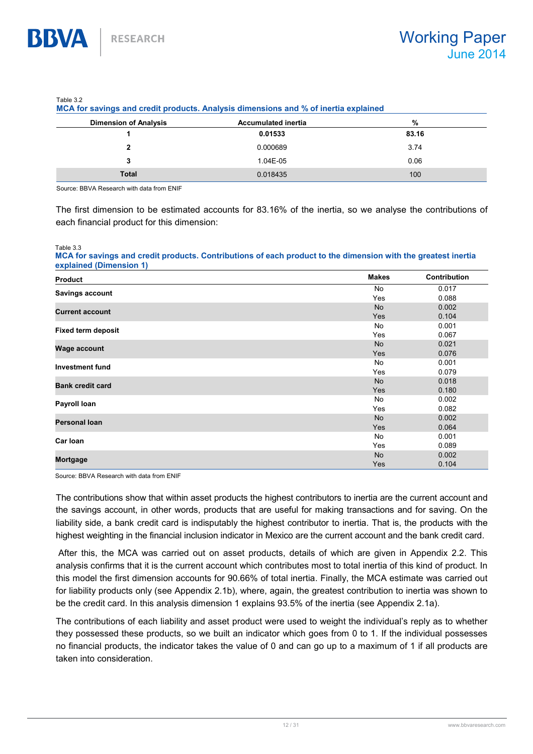| $1$ university<br>MCA for savings and credit products. Analysis dimensions and % of inertia explained |                            |       |  |
|-------------------------------------------------------------------------------------------------------|----------------------------|-------|--|
| <b>Dimension of Analysis</b>                                                                          | <b>Accumulated inertia</b> | %     |  |
|                                                                                                       | 0.01533                    | 83.16 |  |
| 2                                                                                                     | 0.000689                   | 3.74  |  |
| 3                                                                                                     | 1.04E-05                   | 0.06  |  |
| <b>Total</b>                                                                                          | 0.018435                   | 100   |  |

Table 3.2

Source: BBVA Research with data from ENIF

The first dimension to be estimated accounts for 83.16% of the inertia, so we analyse the contributions of each financial product for this dimension:

Table 3.3

**BBVA** 

MCA for savings and credit products. Contributions of each product to the dimension with the greatest inertia explained (Dimension 1)

| <b>Product</b>            | <b>Makes</b> | <b>Contribution</b> |
|---------------------------|--------------|---------------------|
|                           | No           | 0.017               |
| Savings account           | Yes          | 0.088               |
| <b>Current account</b>    | <b>No</b>    | 0.002               |
|                           | Yes          | 0.104               |
| <b>Fixed term deposit</b> | No           | 0.001               |
|                           | Yes          | 0.067               |
| <b>Wage account</b>       | <b>No</b>    | 0.021               |
|                           | Yes          | 0.076               |
| <b>Investment fund</b>    | No           | 0.001               |
|                           | Yes          | 0.079               |
| <b>Bank credit card</b>   | <b>No</b>    | 0.018               |
|                           | Yes          | 0.180               |
| Payroll Ioan              | No           | 0.002               |
|                           | Yes          | 0.082               |
| <b>Personal loan</b>      | <b>No</b>    | 0.002               |
|                           | Yes          | 0.064               |
| Car Ioan                  | No           | 0.001               |
|                           | Yes          | 0.089               |
| Mortgage                  | <b>No</b>    | 0.002               |
|                           | Yes          | 0.104               |

Source: BBVA Research with data from ENIF

The contributions show that within asset products the highest contributors to inertia are the current account and the savings account, in other words, products that are useful for making transactions and for saving. On the liability side, a bank credit card is indisputably the highest contributor to inertia. That is, the products with the highest weighting in the financial inclusion indicator in Mexico are the current account and the bank credit card.

 After this, the MCA was carried out on asset products, details of which are given in Appendix 2.2. This analysis confirms that it is the current account which contributes most to total inertia of this kind of product. In this model the first dimension accounts for 90.66% of total inertia. Finally, the MCA estimate was carried out for liability products only (see Appendix 2.1b), where, again, the greatest contribution to inertia was shown to be the credit card. In this analysis dimension 1 explains 93.5% of the inertia (see Appendix 2.1a).

The contributions of each liability and asset product were used to weight the individual's reply as to whether they possessed these products, so we built an indicator which goes from 0 to 1. If the individual possesses no financial products, the indicator takes the value of 0 and can go up to a maximum of 1 if all products are taken into consideration.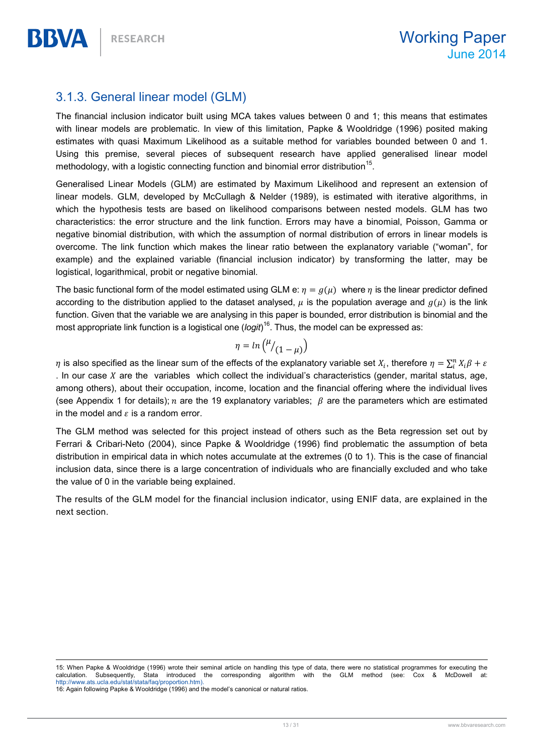### 3.1.3. General linear model (GLM)

The financial inclusion indicator built using MCA takes values between 0 and 1; this means that estimates with linear models are problematic. In view of this limitation, Papke & Wooldridge (1996) posited making estimates with quasi Maximum Likelihood as a suitable method for variables bounded between 0 and 1. Using this premise, several pieces of subsequent research have applied generalised linear model methodology, with a logistic connecting function and binomial error distribution<sup>15</sup>.

Generalised Linear Models (GLM) are estimated by Maximum Likelihood and represent an extension of linear models. GLM, developed by McCullagh & Nelder (1989), is estimated with iterative algorithms, in which the hypothesis tests are based on likelihood comparisons between nested models. GLM has two characteristics: the error structure and the link function. Errors may have a binomial, Poisson, Gamma or negative binomial distribution, with which the assumption of normal distribution of errors in linear models is overcome. The link function which makes the linear ratio between the explanatory variable ("woman", for example) and the explained variable (financial inclusion indicator) by transforming the latter, may be logistical, logarithmical, probit or negative binomial.

The basic functional form of the model estimated using GLM e:  $\eta = g(\mu)$  where  $\eta$  is the linear predictor defined according to the distribution applied to the dataset analysed,  $\mu$  is the population average and  $g(\mu)$  is the link function. Given that the variable we are analysing in this paper is bounded, error distribution is binomial and the most appropriate link function is a logistical one (*logit*)<sup>16</sup>. Thus, the model can be expressed as:

$$
\eta = \ln\left(\frac{\mu}{(1-\mu)}\right)
$$

 $\eta$  is also specified as the linear sum of the effects of the explanatory variable set  $X_i$ , therefore  $\eta=\sum_i^n X_i\beta+\varepsilon$ . In our case  $X$  are the variables which collect the individual's characteristics (gender, marital status, age, among others), about their occupation, income, location and the financial offering where the individual lives (see Appendix 1 for details); n are the 19 explanatory variables;  $\beta$  are the parameters which are estimated in the model and  $\varepsilon$  is a random error.

The GLM method was selected for this project instead of others such as the Beta regression set out by Ferrari & Cribari-Neto (2004), since Papke & Wooldridge (1996) find problematic the assumption of beta distribution in empirical data in which notes accumulate at the extremes (0 to 1). This is the case of financial inclusion data, since there is a large concentration of individuals who are financially excluded and who take the value of 0 in the variable being explained.

The results of the GLM model for the financial inclusion indicator, using ENIF data, are explained in the next section.

 $\overline{a}$ 15: When Papke & Wooldridge (1996) wrote their seminal article on handling this type of data, there were no statistical programmes for executing the Stata introduced the corresponding algorithm with the GLM method (see: Cox & McDowell calculation. Subsequently, Stata introduced<br>http://www.ats.ucla.edu/stat/stata/faq/proportion.htm).

16: Again following Papke & Wooldridge (1996) and the model's canonical or natural ratios.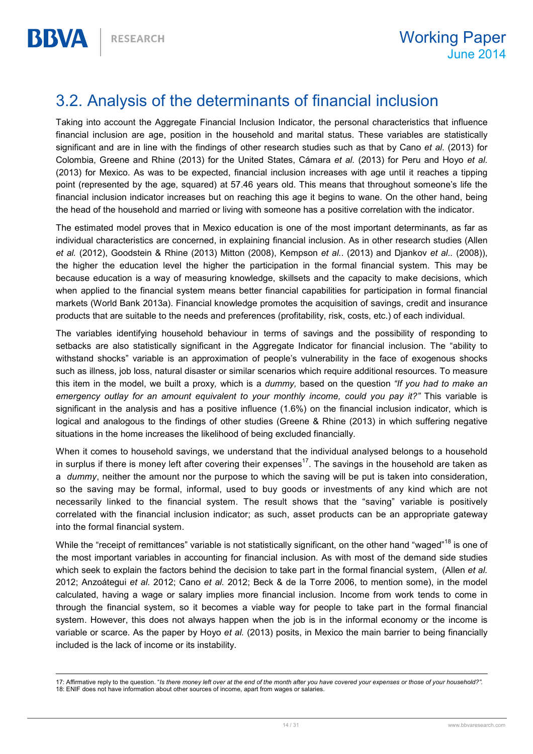## 3.2. Analysis of the determinants of financial inclusion

Taking into account the Aggregate Financial Inclusion Indicator, the personal characteristics that influence financial inclusion are age, position in the household and marital status. These variables are statistically significant and are in line with the findings of other research studies such as that by Cano et al. (2013) for Colombia, Greene and Rhine (2013) for the United States, Cámara et al. (2013) for Peru and Hoyo et al. (2013) for Mexico. As was to be expected, financial inclusion increases with age until it reaches a tipping point (represented by the age, squared) at 57.46 years old. This means that throughout someone's life the financial inclusion indicator increases but on reaching this age it begins to wane. On the other hand, being the head of the household and married or living with someone has a positive correlation with the indicator.

The estimated model proves that in Mexico education is one of the most important determinants, as far as individual characteristics are concerned, in explaining financial inclusion. As in other research studies (Allen et al. (2012), Goodstein & Rhine (2013) Mitton (2008), Kempson et al.. (2013) and Djankov et al.. (2008)), the higher the education level the higher the participation in the formal financial system. This may be because education is a way of measuring knowledge, skillsets and the capacity to make decisions, which when applied to the financial system means better financial capabilities for participation in formal financial markets (World Bank 2013a). Financial knowledge promotes the acquisition of savings, credit and insurance products that are suitable to the needs and preferences (profitability, risk, costs, etc.) of each individual.

The variables identifying household behaviour in terms of savings and the possibility of responding to setbacks are also statistically significant in the Aggregate Indicator for financial inclusion. The "ability to withstand shocks" variable is an approximation of people's vulnerability in the face of exogenous shocks such as illness, job loss, natural disaster or similar scenarios which require additional resources. To measure this item in the model, we built a proxy, which is a dummy, based on the question "If you had to make an emergency outlay for an amount equivalent to your monthly income, could you pay it?" This variable is significant in the analysis and has a positive influence (1.6%) on the financial inclusion indicator, which is logical and analogous to the findings of other studies (Greene & Rhine (2013) in which suffering negative situations in the home increases the likelihood of being excluded financially.

When it comes to household savings, we understand that the individual analysed belongs to a household in surplus if there is money left after covering their expenses<sup>17</sup>. The savings in the household are taken as a *dummy*, neither the amount nor the purpose to which the saving will be put is taken into consideration, so the saving may be formal, informal, used to buy goods or investments of any kind which are not necessarily linked to the financial system. The result shows that the "saving" variable is positively correlated with the financial inclusion indicator; as such, asset products can be an appropriate gateway into the formal financial system.

While the "receipt of remittances" variable is not statistically significant, on the other hand "waged"<sup>18</sup> is one of the most important variables in accounting for financial inclusion. As with most of the demand side studies which seek to explain the factors behind the decision to take part in the formal financial system, (Allen et al. 2012; Anzoátegui et al. 2012; Cano et al. 2012; Beck & de la Torre 2006, to mention some), in the model calculated, having a wage or salary implies more financial inclusion. Income from work tends to come in through the financial system, so it becomes a viable way for people to take part in the formal financial system. However, this does not always happen when the job is in the informal economy or the income is variable or scarce. As the paper by Hoyo et al. (2013) posits, in Mexico the main barrier to being financially included is the lack of income or its instability.

 17: Affirmative reply to the question. "Is there money left over at the end of the month after you have covered your expenses or those of your household?". 18: ENIF does not have information about other sources of income, apart from wages or salaries.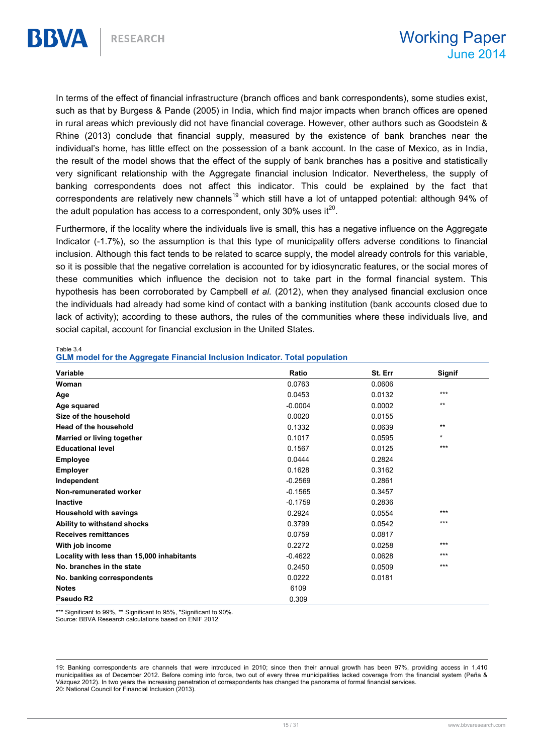In terms of the effect of financial infrastructure (branch offices and bank correspondents), some studies exist, such as that by Burgess & Pande (2005) in India, which find major impacts when branch offices are opened in rural areas which previously did not have financial coverage. However, other authors such as Goodstein & Rhine (2013) conclude that financial supply, measured by the existence of bank branches near the individual's home, has little effect on the possession of a bank account. In the case of Mexico, as in India, the result of the model shows that the effect of the supply of bank branches has a positive and statistically very significant relationship with the Aggregate financial inclusion Indicator. Nevertheless, the supply of banking correspondents does not affect this indicator. This could be explained by the fact that correspondents are relatively new channels<sup>19</sup> which still have a lot of untapped potential: although 94% of the adult population has access to a correspondent, only 30% uses it<sup>20</sup>.

Furthermore, if the locality where the individuals live is small, this has a negative influence on the Aggregate Indicator (-1.7%), so the assumption is that this type of municipality offers adverse conditions to financial inclusion. Although this fact tends to be related to scarce supply, the model already controls for this variable, so it is possible that the negative correlation is accounted for by idiosyncratic features, or the social mores of these communities which influence the decision not to take part in the formal financial system. This hypothesis has been corroborated by Campbell et al. (2012), when they analysed financial exclusion once the individuals had already had some kind of contact with a banking institution (bank accounts closed due to lack of activity); according to these authors, the rules of the communities where these individuals live, and social capital, account for financial exclusion in the United States.

| Variable                                   | Ratio     | St. Err | <b>Signif</b> |
|--------------------------------------------|-----------|---------|---------------|
| Woman                                      | 0.0763    | 0.0606  |               |
| Age                                        | 0.0453    | 0.0132  | $***$         |
| Age squared                                | $-0.0004$ | 0.0002  | $***$         |
| Size of the household                      | 0.0020    | 0.0155  |               |
| <b>Head of the household</b>               | 0.1332    | 0.0639  | $***$         |
| Married or living together                 | 0.1017    | 0.0595  | $\star$       |
| <b>Educational level</b>                   | 0.1567    | 0.0125  | ***           |
| <b>Employee</b>                            | 0.0444    | 0.2824  |               |
| <b>Employer</b>                            | 0.1628    | 0.3162  |               |
| Independent                                | $-0.2569$ | 0.2861  |               |
| Non-remunerated worker                     | $-0.1565$ | 0.3457  |               |
| <b>Inactive</b>                            | $-0.1759$ | 0.2836  |               |
| <b>Household with savings</b>              | 0.2924    | 0.0554  | $***$         |
| Ability to withstand shocks                | 0.3799    | 0.0542  | $***$         |
| <b>Receives remittances</b>                | 0.0759    | 0.0817  |               |
| With job income                            | 0.2272    | 0.0258  | $***$         |
| Locality with less than 15,000 inhabitants | $-0.4622$ | 0.0628  | ***           |
| No. branches in the state                  | 0.2450    | 0.0509  | $***$         |
| No. banking correspondents                 | 0.0222    | 0.0181  |               |
| <b>Notes</b>                               | 6109      |         |               |
| Pseudo R2                                  | 0.309     |         |               |

#### Table 3.4 GLM model for the Aggregate Financial Inclusion Indicator. Total population

\*\*\* Significant to 99%, \*\* Significant to 95%, \*Significant to 90%. Source: BBVA Research calculations based on ENIF 2012

 $\overline{a}$ 19: Banking correspondents are channels that were introduced in 2010; since then their annual growth has been 97%, providing access in 1,410 municipalities as of December 2012. Before coming into force, two out of every three municipalities lacked coverage from the financial system (Peña & Vázquez 2012). In two years the increasing penetration of correspondents has changed the panorama of formal financial services. 20: National Council for Financial Inclusion (2013).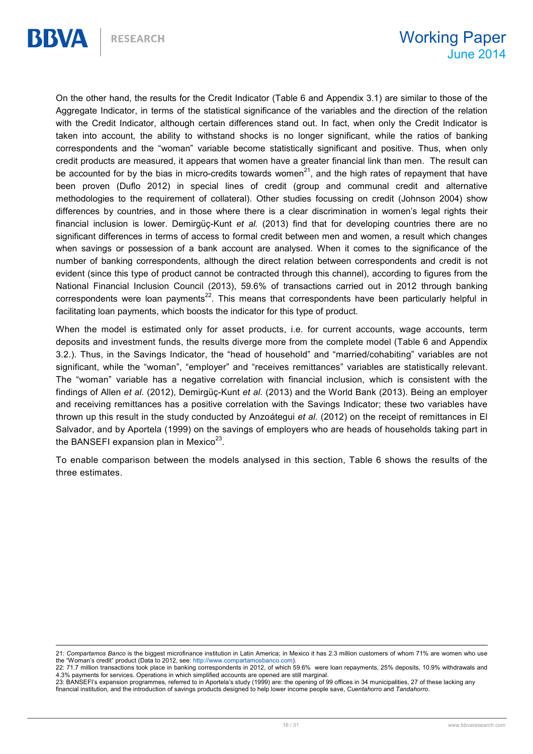On the other hand, the results for the Credit Indicator (Table 6 and Appendix 3.1) are similar to those of the Aggregate Indicator, in terms of the statistical significance of the variables and the direction of the relation with the Credit Indicator, although certain differences stand out. In fact, when only the Credit Indicator is taken into account, the ability to withstand shocks is no longer significant, while the ratios of banking correspondents and the "woman" variable become statistically significant and positive. Thus, when only credit products are measured, it appears that women have a greater financial link than men. The result can be accounted for by the bias in micro-credits towards women<sup>21</sup>, and the high rates of repayment that have been proven (Duflo 2012) in special lines of credit (group and communal credit and alternative methodologies to the requirement of collateral). Other studies focussing on credit (Johnson 2004) show differences by countries, and in those where there is a clear discrimination in women's legal rights their financial inclusion is lower. Demirgüc-Kunt et al. (2013) find that for developing countries there are no significant differences in terms of access to formal credit between men and women, a result which changes when savings or possession of a bank account are analysed. When it comes to the significance of the number of banking correspondents, although the direct relation between correspondents and credit is not evident (since this type of product cannot be contracted through this channel), according to figures from the National Financial Inclusion Council (2013), 59.6% of transactions carried out in 2012 through banking correspondents were loan payments<sup>22</sup>. This means that correspondents have been particularly helpful in facilitating loan payments, which boosts the indicator for this type of product.

When the model is estimated only for asset products, i.e. for current accounts, wage accounts, term deposits and investment funds, the results diverge more from the complete model (Table 6 and Appendix 3.2.). Thus, in the Savings Indicator, the "head of household" and "married/cohabiting" variables are not significant, while the "woman", "employer" and "receives remittances" variables are statistically relevant. The "woman" variable has a negative correlation with financial inclusion, which is consistent with the findings of Allen et al. (2012), Demirgüç-Kunt et al. (2013) and the World Bank (2013). Being an employer and receiving remittances has a positive correlation with the Savings Indicator; these two variables have thrown up this result in the study conducted by Anzoátegui et al. (2012) on the receipt of remittances in El Salvador, and by Aportela (1999) on the savings of employers who are heads of households taking part in the BANSEFI expansion plan in Mexico $^{23}$ .

To enable comparison between the models analysed in this section, Table 6 shows the results of the three estimates.

 $\overline{a}$ 21: Compartamos Banco is the biggest microfinance institution in Latin America; in Mexico it has 2.3 million customers of whom 71% are women who use the "Woman's credit" product (Data to 2012, see: http://www.compartamosbanco.com).

<sup>22: 71.7</sup> million transactions took place in banking correspondents in 2012, of which 59.6% were loan repayments, 25% deposits, 10.9% withdrawals and 4.3% payments for services. Operations in which simplified accounts are opened are still marginal.

<sup>23:</sup> BANSEFI's expansion programmes, referred to in Aportela's study (1999) are: the opening of 99 offices in 34 municipalities, 27 of these lacking any financial institution, and the introduction of savings products designed to help lower income people save, Cuentahorro and Tandahorro.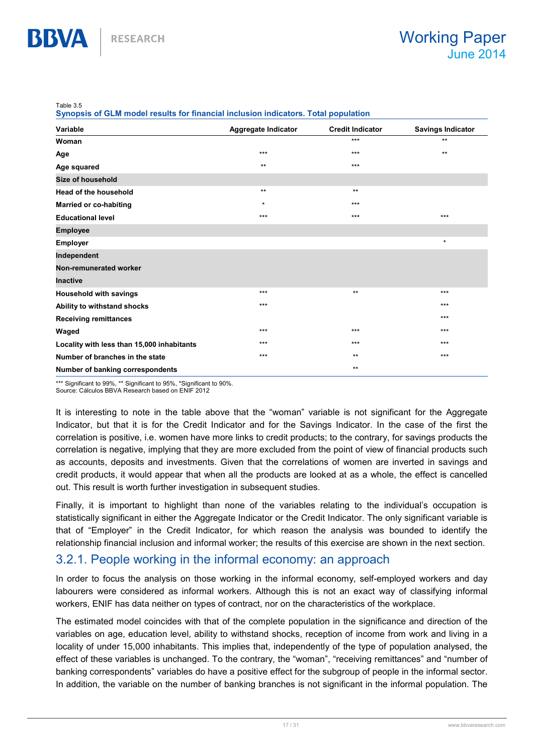Table 3.5

BBVA

Synopsis of GLM model results for financial inclusion indicators. Total population

| Variable                                   | Aggregate Indicator | <b>Credit Indicator</b> | <b>Savings Indicator</b> |
|--------------------------------------------|---------------------|-------------------------|--------------------------|
| Woman                                      |                     | $***$                   | $***$                    |
| Age                                        | $***$               | $***$                   | $***$                    |
| Age squared                                | $***$               | $***$                   |                          |
| <b>Size of household</b>                   |                     |                         |                          |
| <b>Head of the household</b>               | $***$               | $***$                   |                          |
| <b>Married or co-habiting</b>              | $\star$             | $***$                   |                          |
| <b>Educational level</b>                   | $***$               | $***$                   | $***$                    |
| <b>Employee</b>                            |                     |                         |                          |
| <b>Employer</b>                            |                     |                         | $\star$                  |
| Independent                                |                     |                         |                          |
| Non-remunerated worker                     |                     |                         |                          |
| <b>Inactive</b>                            |                     |                         |                          |
| <b>Household with savings</b>              | $***$               | $***$                   | $***$                    |
| Ability to withstand shocks                | $***$               |                         | $***$                    |
| <b>Receiving remittances</b>               |                     |                         | $***$                    |
| Waged                                      | $***$               | $***$                   | $***$                    |
| Locality with less than 15,000 inhabitants | $***$               | $***$                   | $***$                    |
| Number of branches in the state            | $***$               | $***$                   | ***                      |
| Number of banking correspondents           |                     | $***$                   |                          |

\*\*\* Significant to 99%, \*\* Significant to 95%, \*Significant to 90%. Source: Cálculos BBVA Research based on ENIF 2012

It is interesting to note in the table above that the "woman" variable is not significant for the Aggregate Indicator, but that it is for the Credit Indicator and for the Savings Indicator. In the case of the first the correlation is positive, i.e. women have more links to credit products; to the contrary, for savings products the correlation is negative, implying that they are more excluded from the point of view of financial products such as accounts, deposits and investments. Given that the correlations of women are inverted in savings and credit products, it would appear that when all the products are looked at as a whole, the effect is cancelled

Finally, it is important to highlight than none of the variables relating to the individual's occupation is statistically significant in either the Aggregate Indicator or the Credit Indicator. The only significant variable is that of "Employer" in the Credit Indicator, for which reason the analysis was bounded to identify the relationship financial inclusion and informal worker; the results of this exercise are shown in the next section.

### 3.2.1. People working in the informal economy: an approach

out. This result is worth further investigation in subsequent studies.

In order to focus the analysis on those working in the informal economy, self-employed workers and day labourers were considered as informal workers. Although this is not an exact way of classifying informal workers, ENIF has data neither on types of contract, nor on the characteristics of the workplace.

The estimated model coincides with that of the complete population in the significance and direction of the variables on age, education level, ability to withstand shocks, reception of income from work and living in a locality of under 15,000 inhabitants. This implies that, independently of the type of population analysed, the effect of these variables is unchanged. To the contrary, the "woman", "receiving remittances" and "number of banking correspondents" variables do have a positive effect for the subgroup of people in the informal sector. In addition, the variable on the number of banking branches is not significant in the informal population. The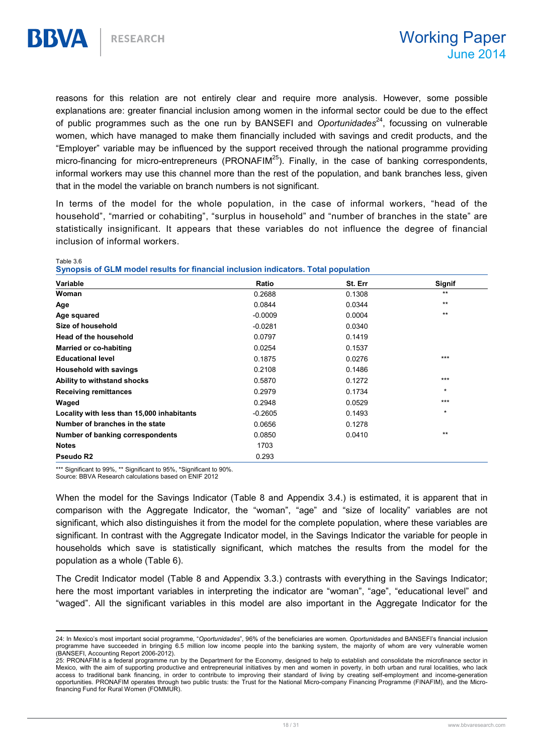reasons for this relation are not entirely clear and require more analysis. However, some possible explanations are: greater financial inclusion among women in the informal sector could be due to the effect of public programmes such as the one run by BANSEFI and *Oportunidades*<sup>24</sup>, focussing on vulnerable women, which have managed to make them financially included with savings and credit products, and the "Employer" variable may be influenced by the support received through the national programme providing micro-financing for micro-entrepreneurs (PRONAFIM<sup>25</sup>). Finally, in the case of banking correspondents, informal workers may use this channel more than the rest of the population, and bank branches less, given that in the model the variable on branch numbers is not significant.

In terms of the model for the whole population, in the case of informal workers, "head of the household", "married or cohabiting", "surplus in household" and "number of branches in the state" are statistically insignificant. It appears that these variables do not influence the degree of financial inclusion of informal workers.

Table 3.6

BBVA

 $\overline{a}$ 

|  | Synopsis of GLM model results for financial inclusion indicators. Total population |  |  |
|--|------------------------------------------------------------------------------------|--|--|
|--|------------------------------------------------------------------------------------|--|--|

| Variable                                   | Ratio     | St. Err | <b>Signif</b> |
|--------------------------------------------|-----------|---------|---------------|
| Woman                                      | 0.2688    | 0.1308  | $***$         |
| Age                                        | 0.0844    | 0.0344  | $***$         |
| Age squared                                | $-0.0009$ | 0.0004  | $**$          |
| Size of household                          | $-0.0281$ | 0.0340  |               |
| <b>Head of the household</b>               | 0.0797    | 0.1419  |               |
| Married or co-habiting                     | 0.0254    | 0.1537  |               |
| <b>Educational level</b>                   | 0.1875    | 0.0276  | $***$         |
| <b>Household with savings</b>              | 0.2108    | 0.1486  |               |
| Ability to withstand shocks                | 0.5870    | 0.1272  | $***$         |
| <b>Receiving remittances</b>               | 0.2979    | 0.1734  | $\star$       |
| Waged                                      | 0.2948    | 0.0529  | $***$         |
| Locality with less than 15,000 inhabitants | $-0.2605$ | 0.1493  | $\star$       |
| Number of branches in the state            | 0.0656    | 0.1278  |               |
| Number of banking correspondents           | 0.0850    | 0.0410  | $***$         |
| <b>Notes</b>                               | 1703      |         |               |
| Pseudo R2                                  | 0.293     |         |               |

\*\*\* Significant to 99%, \*\* Significant to 95%, \*Significant to 90%.

Source: BBVA Research calculations based on ENIF 2012

When the model for the Savings Indicator (Table 8 and Appendix 3.4.) is estimated, it is apparent that in comparison with the Aggregate Indicator, the "woman", "age" and "size of locality" variables are not significant, which also distinguishes it from the model for the complete population, where these variables are significant. In contrast with the Aggregate Indicator model, in the Savings Indicator the variable for people in households which save is statistically significant, which matches the results from the model for the population as a whole (Table 6).

The Credit Indicator model (Table 8 and Appendix 3.3.) contrasts with everything in the Savings Indicator; here the most important variables in interpreting the indicator are "woman", "age", "educational level" and "waged". All the significant variables in this model are also important in the Aggregate Indicator for the

<sup>24:</sup> In Mexico's most important social programme, "Oportunidades", 96% of the beneficiaries are women. Oportunidades and BANSEFI's financial inclusion programme have succeeded in bringing 6.5 million low income people into the banking system, the majority of whom are very vulnerable women (BANSEFI, Accounting Report 2006-2012).

<sup>25:</sup> PRONAFIM is a federal programme run by the Department for the Economy, designed to help to establish and consolidate the microfinance sector in Mexico, with the aim of supporting productive and entrepreneurial initiatives by men and women in poverty, in both urban and rural localities, who lack access to traditional bank financing, in order to contribute to improving their standard of living by creating self-employment and income-generation opportunities. PRONAFIM operates through two public trusts: the Trust for the National Micro-company Financing Programme (FINAFIM), and the Microfinancing Fund for Rural Women (FOMMUR).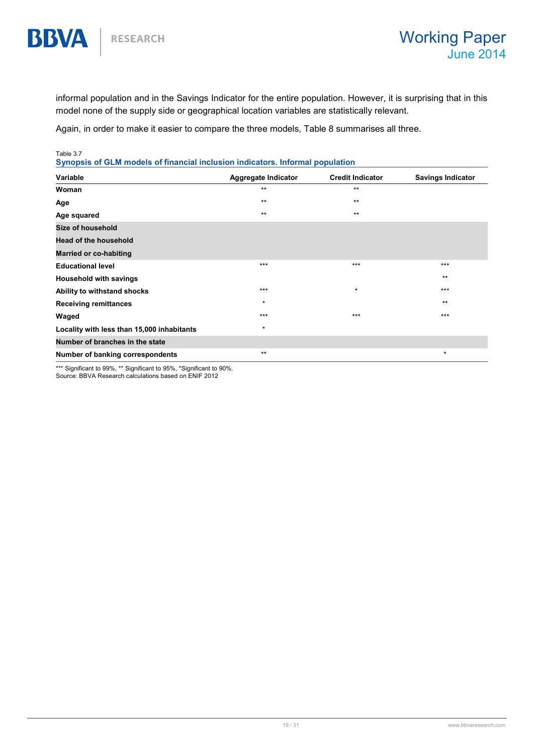informal population and in the Savings Indicator for the entire population. However, it is surprising that in this model none of the supply side or geographical location variables are statistically relevant.

Again, in order to make it easier to compare the three models, Table 8 summarises all three.

Table 3.7

**BBVA** 

Synopsis of GLM models of financial inclusion indicators. Informal population

| Variable                                   | Aggregate Indicator | <b>Credit Indicator</b> | <b>Savings Indicator</b> |
|--------------------------------------------|---------------------|-------------------------|--------------------------|
| Woman                                      | $***$               | $***$                   |                          |
| Age                                        | $***$               | $**$                    |                          |
| Age squared                                | $***$               | $***$                   |                          |
| Size of household                          |                     |                         |                          |
| <b>Head of the household</b>               |                     |                         |                          |
| <b>Married or co-habiting</b>              |                     |                         |                          |
| <b>Educational level</b>                   | $***$               | $***$                   | $***$                    |
| <b>Household with savings</b>              |                     |                         | $***$                    |
| Ability to withstand shocks                | $***$               | $\star$                 | $***$                    |
| <b>Receiving remittances</b>               | $\star$             |                         | $***$                    |
| Waged                                      | $***$               | $***$                   | $***$                    |
| Locality with less than 15,000 inhabitants | $\star$             |                         |                          |
| Number of branches in the state            |                     |                         |                          |
| Number of banking correspondents           | $***$               |                         | $\star$                  |

\*\*\* Significant to 99%, \*\* Significant to 95%, \*Significant to 90%.

Source: BBVA Research calculations based on ENIF 2012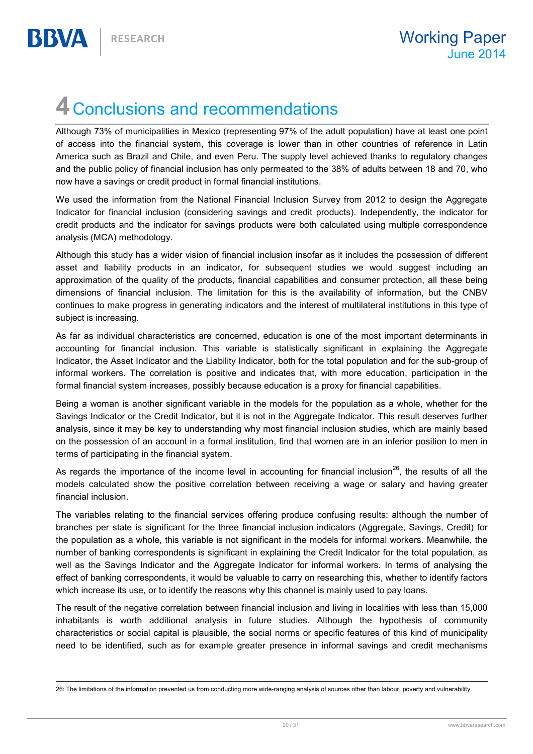## 4 Conclusions and recommendations

Although 73% of municipalities in Mexico (representing 97% of the adult population) have at least one point of access into the financial system, this coverage is lower than in other countries of reference in Latin America such as Brazil and Chile, and even Peru. The supply level achieved thanks to regulatory changes and the public policy of financial inclusion has only permeated to the 38% of adults between 18 and 70, who now have a savings or credit product in formal financial institutions.

We used the information from the National Financial Inclusion Survey from 2012 to design the Aggregate Indicator for financial inclusion (considering savings and credit products). Independently, the indicator for credit products and the indicator for savings products were both calculated using multiple correspondence analysis (MCA) methodology.

Although this study has a wider vision of financial inclusion insofar as it includes the possession of different asset and liability products in an indicator, for subsequent studies we would suggest including an approximation of the quality of the products, financial capabilities and consumer protection, all these being dimensions of financial inclusion. The limitation for this is the availability of information, but the CNBV continues to make progress in generating indicators and the interest of multilateral institutions in this type of subject is increasing.

As far as individual characteristics are concerned, education is one of the most important determinants in accounting for financial inclusion. This variable is statistically significant in explaining the Aggregate Indicator, the Asset Indicator and the Liability Indicator, both for the total population and for the sub-group of informal workers. The correlation is positive and indicates that, with more education, participation in the formal financial system increases, possibly because education is a proxy for financial capabilities.

Being a woman is another significant variable in the models for the population as a whole, whether for the Savings Indicator or the Credit Indicator, but it is not in the Aggregate Indicator. This result deserves further analysis, since it may be key to understanding why most financial inclusion studies, which are mainly based on the possession of an account in a formal institution, find that women are in an inferior position to men in terms of participating in the financial system.

As regards the importance of the income level in accounting for financial inclusion<sup>26</sup>, the results of all the models calculated show the positive correlation between receiving a wage or salary and having greater financial inclusion.

The variables relating to the financial services offering produce confusing results: although the number of branches per state is significant for the three financial inclusion indicators (Aggregate, Savings, Credit) for the population as a whole, this variable is not significant in the models for informal workers. Meanwhile, the number of banking correspondents is significant in explaining the Credit Indicator for the total population, as well as the Savings Indicator and the Aggregate Indicator for informal workers. In terms of analysing the effect of banking correspondents, it would be valuable to carry on researching this, whether to identify factors which increase its use, or to identify the reasons why this channel is mainly used to pay loans.

The result of the negative correlation between financial inclusion and living in localities with less than 15,000 inhabitants is worth additional analysis in future studies. Although the hypothesis of community characteristics or social capital is plausible, the social norms or specific features of this kind of municipality need to be identified, such as for example greater presence in informal savings and credit mechanisms

 $\overline{a}$ 26: The limitations of the information prevented us from conducting more wide-ranging analysis of sources other than labour, poverty and vulnerability.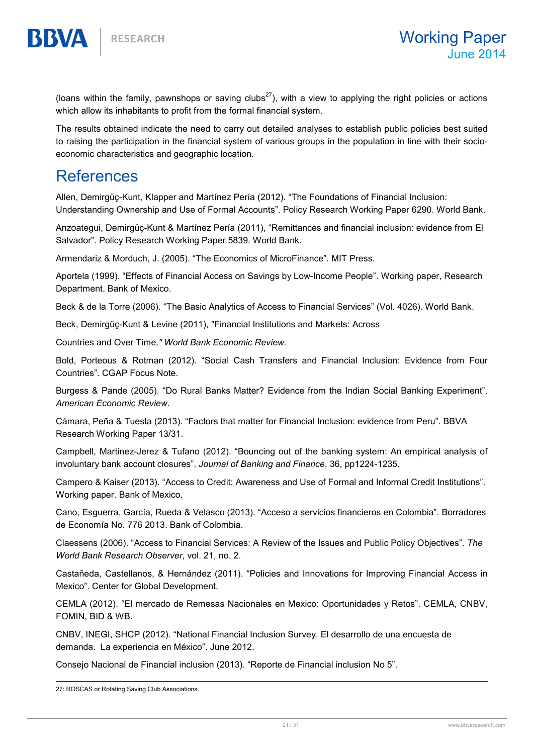(loans within the family, pawnshops or saving clubs<sup>27</sup>), with a view to applying the right policies or actions which allow its inhabitants to profit from the formal financial system.

The results obtained indicate the need to carry out detailed analyses to establish public policies best suited to raising the participation in the financial system of various groups in the population in line with their socioeconomic characteristics and geographic location.

## References

BBVA

Allen, Demirgüç-Kunt, Klapper and Martínez Pería (2012). "The Foundations of Financial Inclusion: Understanding Ownership and Use of Formal Accounts". Policy Research Working Paper 6290. World Bank.

Anzoategui, Demirgüç-Kunt & Martínez Pería (2011), "Remittances and financial inclusion: evidence from El Salvador". Policy Research Working Paper 5839. World Bank.

Armendariz & Morduch, J. (2005). "The Economics of MicroFinance". MIT Press.

Aportela (1999). "Effects of Financial Access on Savings by Low-Income People". Working paper, Research Department. Bank of Mexico.

Beck & de la Torre (2006). "The Basic Analytics of Access to Financial Services" (Vol. 4026). World Bank.

Beck, Demirgüç-Kunt & Levine (2011), "Financial Institutions and Markets: Across

Countries and Over Time," World Bank Economic Review.

Bold, Porteous & Rotman (2012). "Social Cash Transfers and Financial Inclusion: Evidence from Four Countries". CGAP Focus Note.

Burgess & Pande (2005). "Do Rural Banks Matter? Evidence from the Indian Social Banking Experiment". American Economic Review.

Cámara, Peña & Tuesta (2013). "Factors that matter for Financial Inclusion: evidence from Peru". BBVA Research Working Paper 13/31.

Campbell, Martinez-Jerez & Tufano (2012). "Bouncing out of the banking system: An empirical analysis of involuntary bank account closures". Journal of Banking and Finance, 36, pp1224-1235.

Campero & Kaiser (2013). "Access to Credit: Awareness and Use of Formal and Informal Credit Institutions". Working paper. Bank of Mexico.

Cano, Esguerra, García, Rueda & Velasco (2013). "Acceso a servicios financieros en Colombia". Borradores de Economía No. 776 2013. Bank of Colombia.

Claessens (2006). "Access to Financial Services: A Review of the Issues and Public Policy Objectives". The World Bank Research Observer, vol. 21, no. 2.

Castañeda, Castellanos, & Hernández (2011). "Policies and Innovations for Improving Financial Access in Mexico". Center for Global Development.

CEMLA (2012). "El mercado de Remesas Nacionales en Mexico: Oportunidades y Retos". CEMLA, CNBV, FOMIN, BID & WB.

CNBV, INEGI, SHCP (2012). "National Financial Inclusion Survey. El desarrollo de una encuesta de demanda. La experiencia en México". June 2012.

Consejo Nacional de Financial inclusion (2013). "Reporte de Financial inclusion No 5".

 $\overline{a}$ 27: ROSCAS or Rotating Saving Club Associations.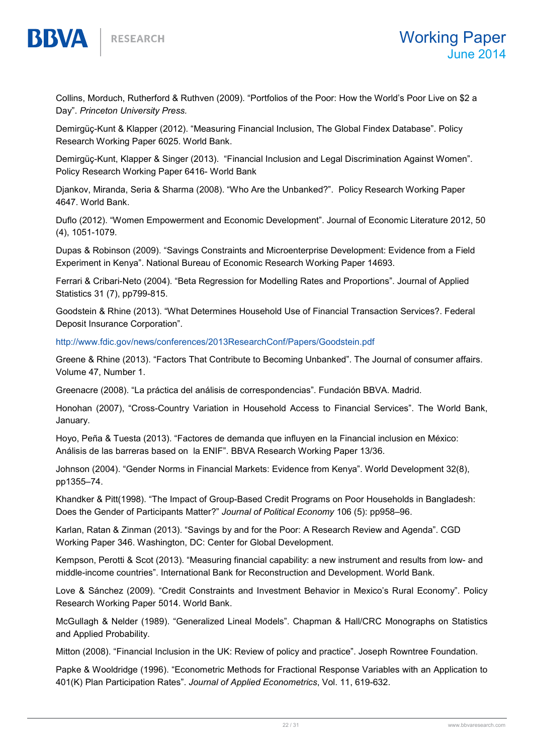Collins, Morduch, Rutherford & Ruthven (2009). "Portfolios of the Poor: How the World's Poor Live on \$2 a Day". Princeton University Press.

Demirgüç-Kunt & Klapper (2012). "Measuring Financial Inclusion, The Global Findex Database". Policy Research Working Paper 6025. World Bank.

Demirgüç-Kunt, Klapper & Singer (2013). "Financial Inclusion and Legal Discrimination Against Women". Policy Research Working Paper 6416- World Bank

Djankov, Miranda, Seria & Sharma (2008). "Who Are the Unbanked?". Policy Research Working Paper 4647. World Bank.

Duflo (2012). "Women Empowerment and Economic Development". Journal of Economic Literature 2012, 50 (4), 1051-1079.

Dupas & Robinson (2009). "Savings Constraints and Microenterprise Development: Evidence from a Field Experiment in Kenya". National Bureau of Economic Research Working Paper 14693.

Ferrari & Cribari-Neto (2004). "Beta Regression for Modelling Rates and Proportions". Journal of Applied Statistics 31 (7), pp799-815.

Goodstein & Rhine (2013). "What Determines Household Use of Financial Transaction Services?. Federal Deposit Insurance Corporation".

http://www.fdic.gov/news/conferences/2013ResearchConf/Papers/Goodstein.pdf

Greene & Rhine (2013). "Factors That Contribute to Becoming Unbanked". The Journal of consumer affairs. Volume 47, Number 1.

Greenacre (2008). "La práctica del análisis de correspondencias". Fundación BBVA. Madrid.

Honohan (2007), "Cross-Country Variation in Household Access to Financial Services". The World Bank, January.

Hoyo, Peña & Tuesta (2013). "Factores de demanda que influyen en la Financial inclusion en México: Análisis de las barreras based on la ENIF". BBVA Research Working Paper 13/36.

Johnson (2004). "Gender Norms in Financial Markets: Evidence from Kenya". World Development 32(8), pp1355–74.

Khandker & Pitt(1998). "The Impact of Group-Based Credit Programs on Poor Households in Bangladesh: Does the Gender of Participants Matter?" Journal of Political Economy 106 (5): pp958–96.

Karlan, Ratan & Zinman (2013). "Savings by and for the Poor: A Research Review and Agenda". CGD Working Paper 346. Washington, DC: Center for Global Development.

Kempson, Perotti & Scot (2013). "Measuring financial capability: a new instrument and results from low- and middle-income countries". International Bank for Reconstruction and Development. World Bank.

Love & Sánchez (2009). "Credit Constraints and Investment Behavior in Mexico's Rural Economy". Policy Research Working Paper 5014. World Bank.

McGullagh & Nelder (1989). "Generalized Lineal Models". Chapman & Hall/CRC Monographs on Statistics and Applied Probability.

Mitton (2008). "Financial Inclusion in the UK: Review of policy and practice". Joseph Rowntree Foundation.

Papke & Wooldridge (1996). "Econometric Methods for Fractional Response Variables with an Application to 401(K) Plan Participation Rates". Journal of Applied Econometrics, Vol. 11, 619-632.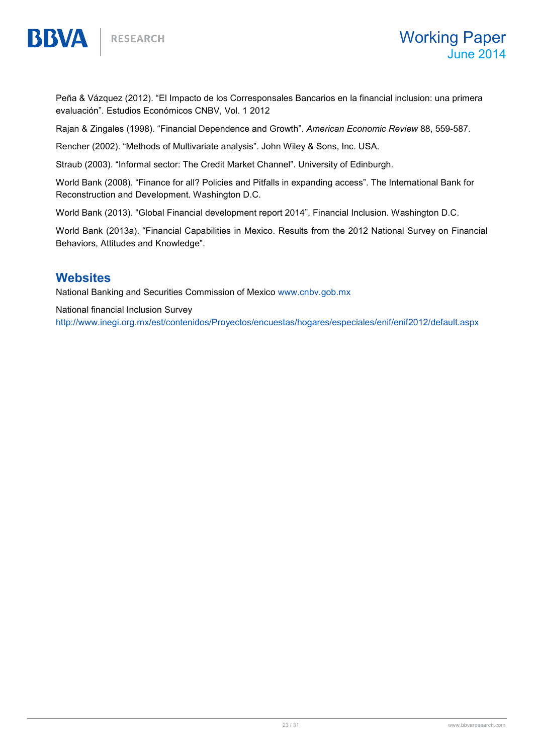Peña & Vázquez (2012). "El Impacto de los Corresponsales Bancarios en la financial inclusion: una primera evaluación". Estudios Económicos CNBV, Vol. 1 2012

Rajan & Zingales (1998). "Financial Dependence and Growth". American Economic Review 88, 559-587.

Rencher (2002). "Methods of Multivariate analysis". John Wiley & Sons, Inc. USA.

Straub (2003). "Informal sector: The Credit Market Channel". University of Edinburgh.

World Bank (2008). "Finance for all? Policies and Pitfalls in expanding access". The International Bank for Reconstruction and Development. Washington D.C.

World Bank (2013). "Global Financial development report 2014", Financial Inclusion. Washington D.C.

World Bank (2013a). "Financial Capabilities in Mexico. Results from the 2012 National Survey on Financial Behaviors, Attitudes and Knowledge".

#### **Websites**

**BBVA** 

National Banking and Securities Commission of Mexico www.cnbv.gob.mx

National financial Inclusion Survey

http://www.inegi.org.mx/est/contenidos/Proyectos/encuestas/hogares/especiales/enif/enif2012/default.aspx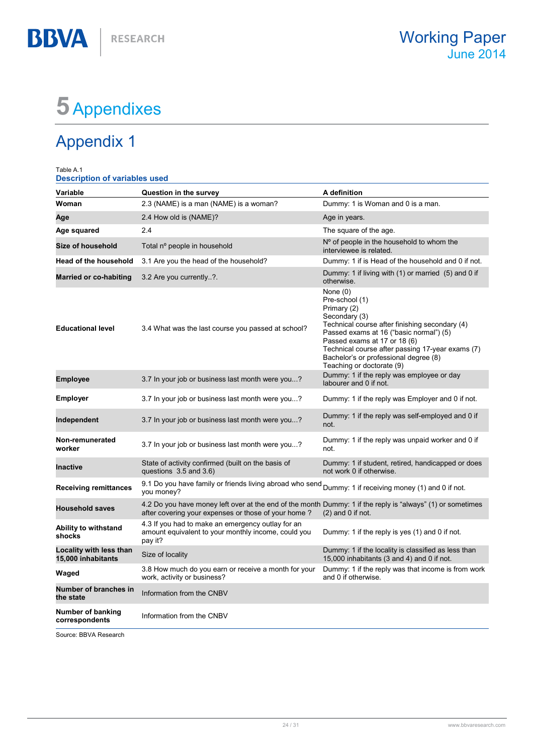## 5 Appendixes

## Appendix 1

**BBVA** 

| Table A.1<br><b>Description of variables used</b> |                                                                                                                                                                   |                                                                                                                                                                                                                                                                                                                     |
|---------------------------------------------------|-------------------------------------------------------------------------------------------------------------------------------------------------------------------|---------------------------------------------------------------------------------------------------------------------------------------------------------------------------------------------------------------------------------------------------------------------------------------------------------------------|
| Variable                                          | Question in the survey                                                                                                                                            | A definition                                                                                                                                                                                                                                                                                                        |
| Woman                                             | 2.3 (NAME) is a man (NAME) is a woman?                                                                                                                            | Dummy: 1 is Woman and 0 is a man.                                                                                                                                                                                                                                                                                   |
| Age                                               | 2.4 How old is (NAME)?                                                                                                                                            | Age in years.                                                                                                                                                                                                                                                                                                       |
| Age squared                                       | 2.4                                                                                                                                                               | The square of the age.                                                                                                                                                                                                                                                                                              |
| Size of household                                 | Total nº people in household                                                                                                                                      | N° of people in the household to whom the<br>interviewee is related.                                                                                                                                                                                                                                                |
| <b>Head of the household</b>                      | 3.1 Are you the head of the household?                                                                                                                            | Dummy: 1 if is Head of the household and 0 if not.                                                                                                                                                                                                                                                                  |
| <b>Married or co-habiting</b>                     | 3.2 Are you currently?.                                                                                                                                           | Dummy: 1 if living with (1) or married (5) and 0 if<br>otherwise.                                                                                                                                                                                                                                                   |
| <b>Educational level</b>                          | 3.4 What was the last course you passed at school?                                                                                                                | None $(0)$<br>Pre-school (1)<br>Primary (2)<br>Secondary (3)<br>Technical course after finishing secondary (4)<br>Passed exams at 16 ("basic normal") (5)<br>Passed exams at 17 or 18 (6)<br>Technical course after passing 17-year exams (7)<br>Bachelor's or professional degree (8)<br>Teaching or doctorate (9) |
| <b>Employee</b>                                   | 3.7 In your job or business last month were you?                                                                                                                  | Dummy: 1 if the reply was employee or day<br>labourer and 0 if not.                                                                                                                                                                                                                                                 |
| <b>Employer</b>                                   | 3.7 In your job or business last month were you?                                                                                                                  | Dummy: 1 if the reply was Employer and 0 if not.                                                                                                                                                                                                                                                                    |
| Independent                                       | 3.7 In your job or business last month were you?                                                                                                                  | Dummy: 1 if the reply was self-employed and 0 if<br>not.                                                                                                                                                                                                                                                            |
| Non-remunerated<br>worker                         | 3.7 In your job or business last month were you?                                                                                                                  | Dummy: 1 if the reply was unpaid worker and 0 if<br>not.                                                                                                                                                                                                                                                            |
| <b>Inactive</b>                                   | State of activity confirmed (built on the basis of<br>questions 3.5 and 3.6)                                                                                      | Dummy: 1 if student, retired, handicapped or does<br>not work 0 if otherwise.                                                                                                                                                                                                                                       |
| <b>Receiving remittances</b>                      | 9.1 Do you have family or friends living abroad who send<br>you money?                                                                                            | Dummy: 1 if receiving money (1) and 0 if not.                                                                                                                                                                                                                                                                       |
| <b>Household saves</b>                            | 4.2 Do you have money left over at the end of the month Dummy: 1 if the reply is "always" (1) or sometimes<br>after covering your expenses or those of your home? | $(2)$ and 0 if not.                                                                                                                                                                                                                                                                                                 |
| Ability to withstand<br>shocks                    | 4.3 If you had to make an emergency outlay for an<br>amount equivalent to your monthly income, could you<br>pay it?                                               | Dummy: 1 if the reply is yes (1) and 0 if not.                                                                                                                                                                                                                                                                      |
| Locality with less than<br>15,000 inhabitants     | Size of locality                                                                                                                                                  | Dummy: 1 if the locality is classified as less than<br>15,000 inhabitants (3 and 4) and 0 if not.                                                                                                                                                                                                                   |
| Waged                                             | 3.8 How much do you earn or receive a month for your<br>work, activity or business?                                                                               | Dummy: 1 if the reply was that income is from work<br>and 0 if otherwise.                                                                                                                                                                                                                                           |
| Number of branches in<br>the state                | Information from the CNBV                                                                                                                                         |                                                                                                                                                                                                                                                                                                                     |
| Number of banking<br>correspondents               | Information from the CNBV                                                                                                                                         |                                                                                                                                                                                                                                                                                                                     |

Source: BBVA Research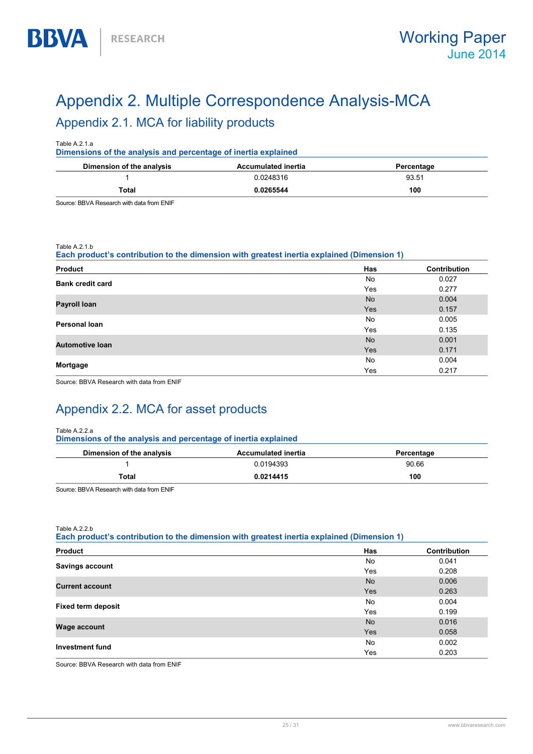## Appendix 2. Multiple Correspondence Analysis-MCA Appendix 2.1. MCA for liability products

| Table A.2.1.a<br>Dimensions of the analysis and percentage of inertia explained |                            |            |  |
|---------------------------------------------------------------------------------|----------------------------|------------|--|
| Dimension of the analysis                                                       | <b>Accumulated inertia</b> | Percentage |  |
|                                                                                 | 0.0248316                  | 93.51      |  |
| Total                                                                           | 0.0265544                  | 100        |  |

Source: BBVA Research with data from ENIF

#### Table A.2.1.b

**BBVA** 

Each product's contribution to the dimension with greatest inertia explained (Dimension 1)

| <b>Product</b>          | <b>Has</b> | Contribution |
|-------------------------|------------|--------------|
| <b>Bank credit card</b> | No         | 0.027        |
|                         | Yes        | 0.277        |
| Payroll Ioan            | <b>No</b>  | 0.004        |
|                         | Yes        | 0.157        |
| <b>Personal loan</b>    | No         | 0.005        |
|                         | Yes        | 0.135        |
| <b>Automotive loan</b>  | <b>No</b>  | 0.001        |
|                         | Yes        | 0.171        |
|                         | No         | 0.004        |
| Mortgage                | Yes        | 0.217        |

Source: BBVA Research with data from ENIF

## Appendix 2.2. MCA for asset products

#### Table A.2.2.a

Dimensions of the analysis and percentage of inertia explained

| Dimension of the analysis | <b>Accumulated inertia</b> | Percentage |
|---------------------------|----------------------------|------------|
|                           | 0.0194393                  | 90.66      |
| Total                     | 0.0214415                  | 100        |

Source: BBVA Research with data from ENIF

Table A.2.2.b

Each product's contribution to the dimension with greatest inertia explained (Dimension 1)

| <b>Product</b>            | Has        | Contribution |
|---------------------------|------------|--------------|
|                           | No         | 0.041        |
| <b>Savings account</b>    | Yes        | 0.208        |
| <b>Current account</b>    | <b>No</b>  | 0.006        |
|                           | <b>Yes</b> | 0.263        |
|                           | No         | 0.004        |
| <b>Fixed term deposit</b> | Yes        | 0.199        |
| <b>Wage account</b>       | <b>No</b>  | 0.016        |
|                           | <b>Yes</b> | 0.058        |
| Investment fund           | No         | 0.002        |
|                           | Yes        | 0.203        |

Source: BBVA Research with data from ENIF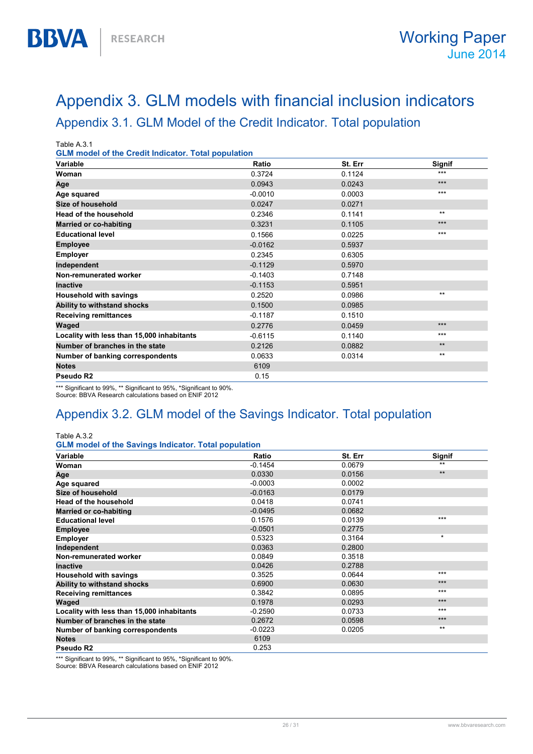## Appendix 3. GLM models with financial inclusion indicators Appendix 3.1. GLM Model of the Credit Indicator. Total population

Table A.3.1

**BBVA** 

GLM model of the Credit Indicator. Total population

| Variable                                   | Ratio     | St. Err | Signif |
|--------------------------------------------|-----------|---------|--------|
| Woman                                      | 0.3724    | 0.1124  | ***    |
| Age                                        | 0.0943    | 0.0243  | $***$  |
| Age squared                                | $-0.0010$ | 0.0003  | $***$  |
| <b>Size of household</b>                   | 0.0247    | 0.0271  |        |
| <b>Head of the household</b>               | 0.2346    | 0.1141  | $**$   |
| <b>Married or co-habiting</b>              | 0.3231    | 0.1105  | $***$  |
| <b>Educational level</b>                   | 0.1566    | 0.0225  | ***    |
| <b>Employee</b>                            | $-0.0162$ | 0.5937  |        |
| Employer                                   | 0.2345    | 0.6305  |        |
| Independent                                | $-0.1129$ | 0.5970  |        |
| Non-remunerated worker                     | $-0.1403$ | 0.7148  |        |
| <b>Inactive</b>                            | $-0.1153$ | 0.5951  |        |
| <b>Household with savings</b>              | 0.2520    | 0.0986  | $***$  |
| Ability to withstand shocks                | 0.1500    | 0.0985  |        |
| <b>Receiving remittances</b>               | $-0.1187$ | 0.1510  |        |
| Waged                                      | 0.2776    | 0.0459  | $***$  |
| Locality with less than 15,000 inhabitants | $-0.6115$ | 0.1140  | $***$  |
| Number of branches in the state            | 0.2126    | 0.0882  | $**$   |
| Number of banking correspondents           | 0.0633    | 0.0314  | $***$  |
| <b>Notes</b>                               | 6109      |         |        |
| Pseudo R2                                  | 0.15      |         |        |

\*\*\* Significant to 99%, \*\* Significant to 95%, \*Significant to 90%.

Source: BBVA Research calculations based on ENIF 2012

### Appendix 3.2. GLM model of the Savings Indicator. Total population

#### Table A.3.2

GLM model of the Savings Indicator. Total population

| Variable                                   | Ratio     | St. Err | Signif  |
|--------------------------------------------|-----------|---------|---------|
| Woman                                      | $-0.1454$ | 0.0679  | $***$   |
| Age                                        | 0.0330    | 0.0156  | $**$    |
| Age squared                                | $-0.0003$ | 0.0002  |         |
| Size of household                          | $-0.0163$ | 0.0179  |         |
| <b>Head of the household</b>               | 0.0418    | 0.0741  |         |
| <b>Married or co-habiting</b>              | $-0.0495$ | 0.0682  |         |
| <b>Educational level</b>                   | 0.1576    | 0.0139  | $***$   |
| <b>Employee</b>                            | $-0.0501$ | 0.2775  |         |
| <b>Employer</b>                            | 0.5323    | 0.3164  | $\star$ |
| Independent                                | 0.0363    | 0.2800  |         |
| Non-remunerated worker                     | 0.0849    | 0.3518  |         |
| <b>Inactive</b>                            | 0.0426    | 0.2788  |         |
| <b>Household with savings</b>              | 0.3525    | 0.0644  | $***$   |
| Ability to withstand shocks                | 0.6900    | 0.0630  | $***$   |
| <b>Receiving remittances</b>               | 0.3842    | 0.0895  | $***$   |
| Waged                                      | 0.1978    | 0.0293  | $***$   |
| Locality with less than 15,000 inhabitants | $-0.2590$ | 0.0733  | $***$   |
| Number of branches in the state            | 0.2672    | 0.0598  | $***$   |
| Number of banking correspondents           | $-0.0223$ | 0.0205  | $***$   |
| <b>Notes</b>                               | 6109      |         |         |
| Pseudo R2                                  | 0.253     |         |         |

\*\*\* Significant to 99%, \*\* Significant to 95%, \*Significant to 90%. Source: BBVA Research calculations based on ENIF 2012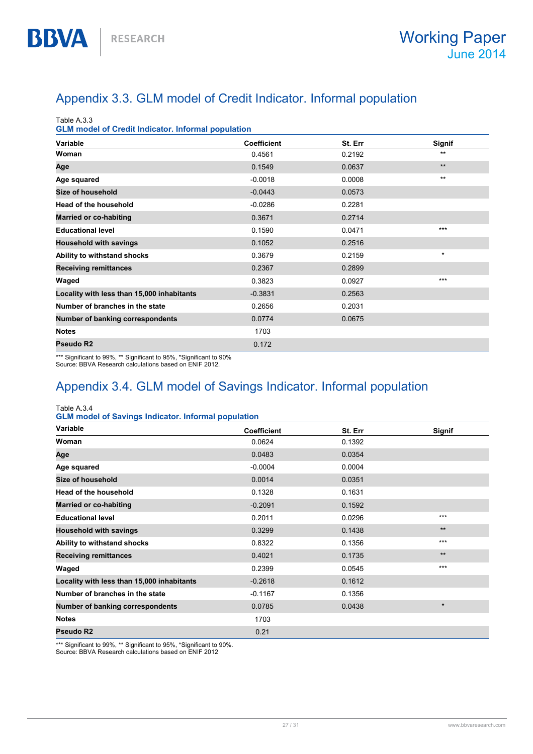## Appendix 3.3. GLM model of Credit Indicator. Informal population

Table A.3.3

**BBVA** 

GLM model of Credit Indicator. Informal population

| Variable                                   | <b>Coefficient</b> | St. Err | Signif  |
|--------------------------------------------|--------------------|---------|---------|
| Woman                                      | 0.4561             | 0.2192  | $**$    |
| Age                                        | 0.1549             | 0.0637  | $***$   |
| Age squared                                | $-0.0018$          | 0.0008  | $**$    |
| Size of household                          | $-0.0443$          | 0.0573  |         |
| <b>Head of the household</b>               | $-0.0286$          | 0.2281  |         |
| <b>Married or co-habiting</b>              | 0.3671             | 0.2714  |         |
| <b>Educational level</b>                   | 0.1590             | 0.0471  | $***$   |
| <b>Household with savings</b>              | 0.1052             | 0.2516  |         |
| Ability to withstand shocks                | 0.3679             | 0.2159  | $\star$ |
| <b>Receiving remittances</b>               | 0.2367             | 0.2899  |         |
| Waged                                      | 0.3823             | 0.0927  | $***$   |
| Locality with less than 15,000 inhabitants | $-0.3831$          | 0.2563  |         |
| Number of branches in the state            | 0.2656             | 0.2031  |         |
| Number of banking correspondents           | 0.0774             | 0.0675  |         |
| <b>Notes</b>                               | 1703               |         |         |
| Pseudo R2                                  | 0.172              |         |         |

\*\*\* Significant to 99%, \*\* Significant to 95%, \*Significant to 90% Source: BBVA Research calculations based on ENIF 2012.

### Appendix 3.4. GLM model of Savings Indicator. Informal population

Table A.3.4

| <b>GLM model of Savings Indicator. Informal population</b> |  |
|------------------------------------------------------------|--|
|------------------------------------------------------------|--|

| Variable                                   | <b>Coefficient</b> | St. Err | Signif  |
|--------------------------------------------|--------------------|---------|---------|
| Woman                                      | 0.0624             | 0.1392  |         |
| Age                                        | 0.0483             | 0.0354  |         |
| Age squared                                | $-0.0004$          | 0.0004  |         |
| <b>Size of household</b>                   | 0.0014             | 0.0351  |         |
| <b>Head of the household</b>               | 0.1328             | 0.1631  |         |
| <b>Married or co-habiting</b>              | $-0.2091$          | 0.1592  |         |
| <b>Educational level</b>                   | 0.2011             | 0.0296  | $***$   |
| <b>Household with savings</b>              | 0.3299             | 0.1438  | $***$   |
| Ability to withstand shocks                | 0.8322             | 0.1356  | $***$   |
| <b>Receiving remittances</b>               | 0.4021             | 0.1735  | $**$    |
| Waged                                      | 0.2399             | 0.0545  | $***$   |
| Locality with less than 15,000 inhabitants | $-0.2618$          | 0.1612  |         |
| Number of branches in the state            | $-0.1167$          | 0.1356  |         |
| Number of banking correspondents           | 0.0785             | 0.0438  | $\star$ |
| <b>Notes</b>                               | 1703               |         |         |
| Pseudo R2                                  | 0.21               |         |         |

\*\*\* Significant to 99%, \*\* Significant to 95%, \*Significant to 90%. Source: BBVA Research calculations based on ENIF 2012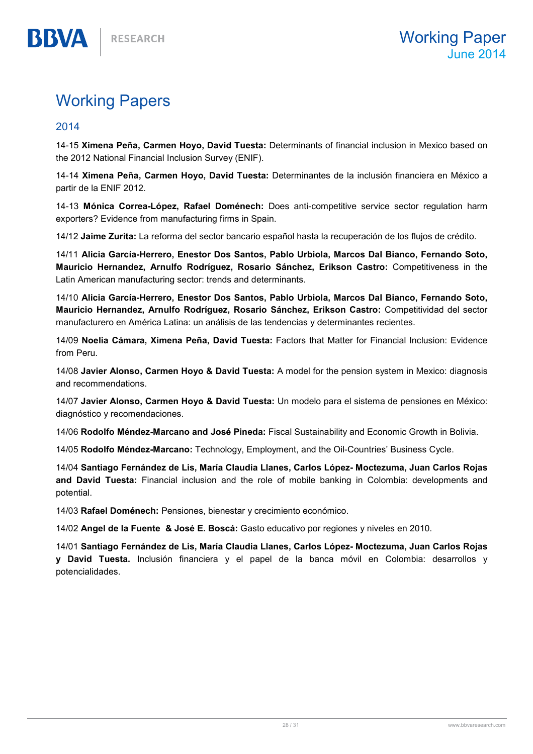## Working Papers

#### 2014

BBVA

14-15 Ximena Peña, Carmen Hoyo, David Tuesta: Determinants of financial inclusion in Mexico based on the 2012 National Financial Inclusion Survey (ENIF).

14-14 Ximena Peña, Carmen Hoyo, David Tuesta: Determinantes de la inclusión financiera en México a partir de la ENIF 2012.

14-13 Mónica Correa-López, Rafael Doménech: Does anti-competitive service sector regulation harm exporters? Evidence from manufacturing firms in Spain.

14/12 Jaime Zurita: La reforma del sector bancario español hasta la recuperación de los flujos de crédito.

14/11 Alicia García-Herrero, Enestor Dos Santos, Pablo Urbiola, Marcos Dal Bianco, Fernando Soto, Mauricio Hernandez, Arnulfo Rodríguez, Rosario Sánchez, Erikson Castro: Competitiveness in the Latin American manufacturing sector: trends and determinants.

14/10 Alicia García-Herrero, Enestor Dos Santos, Pablo Urbiola, Marcos Dal Bianco, Fernando Soto, Mauricio Hernandez, Arnulfo Rodríguez, Rosario Sánchez, Erikson Castro: Competitividad del sector manufacturero en América Latina: un análisis de las tendencias y determinantes recientes.

14/09 Noelia Cámara, Ximena Peña, David Tuesta: Factors that Matter for Financial Inclusion: Evidence from Peru.

14/08 Javier Alonso, Carmen Hoyo & David Tuesta: A model for the pension system in Mexico: diagnosis and recommendations.

14/07 Javier Alonso, Carmen Hoyo & David Tuesta: Un modelo para el sistema de pensiones en México: diagnóstico y recomendaciones.

14/06 Rodolfo Méndez-Marcano and José Pineda: Fiscal Sustainability and Economic Growth in Bolivia.

14/05 Rodolfo Méndez-Marcano: Technology, Employment, and the Oil-Countries' Business Cycle.

14/04 Santiago Fernández de Lis, María Claudia Llanes, Carlos López- Moctezuma, Juan Carlos Rojas and David Tuesta: Financial inclusion and the role of mobile banking in Colombia: developments and potential.

14/03 Rafael Doménech: Pensiones, bienestar y crecimiento económico.

14/02 Angel de la Fuente & José E. Boscá: Gasto educativo por regiones y niveles en 2010.

14/01 Santiago Fernández de Lis, María Claudia Llanes, Carlos López- Moctezuma, Juan Carlos Rojas y David Tuesta. Inclusión financiera y el papel de la banca móvil en Colombia: desarrollos y potencialidades.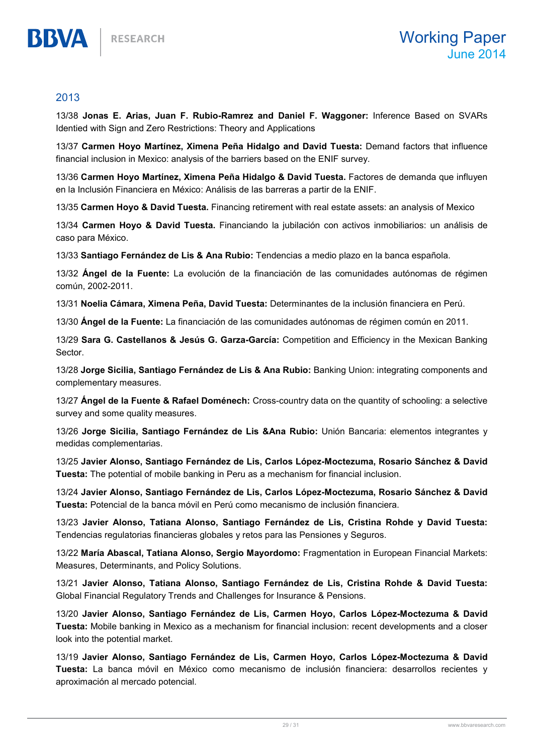#### 2013

BBVA

13/38 Jonas E. Arias, Juan F. Rubio-Ramrez and Daniel F. Waggoner: Inference Based on SVARs Identied with Sign and Zero Restrictions: Theory and Applications

13/37 Carmen Hoyo Martínez, Ximena Peña Hidalgo and David Tuesta: Demand factors that influence financial inclusion in Mexico: analysis of the barriers based on the ENIF survey.

13/36 Carmen Hoyo Martínez, Ximena Peña Hidalgo & David Tuesta. Factores de demanda que influyen en la Inclusión Financiera en México: Análisis de las barreras a partir de la ENIF.

13/35 Carmen Hoyo & David Tuesta. Financing retirement with real estate assets: an analysis of Mexico

13/34 Carmen Hoyo & David Tuesta. Financiando la jubilación con activos inmobiliarios: un análisis de caso para México.

13/33 Santiago Fernández de Lis & Ana Rubio: Tendencias a medio plazo en la banca española.

13/32 Ángel de la Fuente: La evolución de la financiación de las comunidades autónomas de régimen común, 2002-2011.

13/31 Noelia Cámara, Ximena Peña, David Tuesta: Determinantes de la inclusión financiera en Perú.

13/30 Ángel de la Fuente: La financiación de las comunidades autónomas de régimen común en 2011.

13/29 Sara G. Castellanos & Jesús G. Garza-García: Competition and Efficiency in the Mexican Banking Sector.

13/28 Jorge Sicilia, Santiago Fernández de Lis & Ana Rubio: Banking Union: integrating components and complementary measures.

13/27 Ángel de la Fuente & Rafael Doménech: Cross-country data on the quantity of schooling: a selective survey and some quality measures.

13/26 Jorge Sicilia, Santiago Fernández de Lis & Ana Rubio: Unión Bancaria: elementos integrantes y medidas complementarias.

13/25 Javier Alonso, Santiago Fernández de Lis, Carlos López-Moctezuma, Rosario Sánchez & David Tuesta: The potential of mobile banking in Peru as a mechanism for financial inclusion.

13/24 Javier Alonso, Santiago Fernández de Lis, Carlos López-Moctezuma, Rosario Sánchez & David Tuesta: Potencial de la banca móvil en Perú como mecanismo de inclusión financiera.

13/23 Javier Alonso, Tatiana Alonso, Santiago Fernández de Lis, Cristina Rohde y David Tuesta: Tendencias regulatorias financieras globales y retos para las Pensiones y Seguros.

13/22 María Abascal, Tatiana Alonso, Sergio Mayordomo: Fragmentation in European Financial Markets: Measures, Determinants, and Policy Solutions.

13/21 Javier Alonso, Tatiana Alonso, Santiago Fernández de Lis, Cristina Rohde & David Tuesta: Global Financial Regulatory Trends and Challenges for Insurance & Pensions.

13/20 Javier Alonso, Santiago Fernández de Lis, Carmen Hoyo, Carlos López-Moctezuma & David Tuesta: Mobile banking in Mexico as a mechanism for financial inclusion: recent developments and a closer look into the potential market.

13/19 Javier Alonso, Santiago Fernández de Lis, Carmen Hoyo, Carlos López-Moctezuma & David Tuesta: La banca móvil en México como mecanismo de inclusión financiera: desarrollos recientes y aproximación al mercado potencial.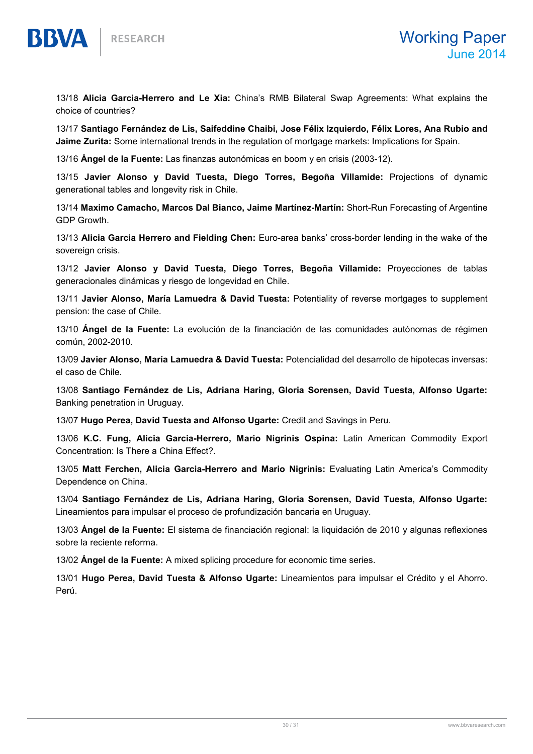

13/18 Alicia Garcia-Herrero and Le Xia: China's RMB Bilateral Swap Agreements: What explains the choice of countries?

13/17 Santiago Fernández de Lis, Saifeddine Chaibi, Jose Félix Izquierdo, Félix Lores, Ana Rubio and Jaime Zurita: Some international trends in the regulation of mortgage markets: Implications for Spain.

13/16 Ángel de la Fuente: Las finanzas autonómicas en boom y en crisis (2003-12).

13/15 Javier Alonso y David Tuesta, Diego Torres, Begoña Villamide: Projections of dynamic generational tables and longevity risk in Chile.

13/14 Maximo Camacho, Marcos Dal Bianco, Jaime Martínez-Martín: Short-Run Forecasting of Argentine GDP Growth.

13/13 Alicia Garcia Herrero and Fielding Chen: Euro-area banks' cross-border lending in the wake of the sovereign crisis.

13/12 Javier Alonso y David Tuesta, Diego Torres, Begoña Villamide: Proyecciones de tablas generacionales dinámicas y riesgo de longevidad en Chile.

13/11 Javier Alonso, María Lamuedra & David Tuesta: Potentiality of reverse mortgages to supplement pension: the case of Chile.

13/10 Ángel de la Fuente: La evolución de la financiación de las comunidades autónomas de régimen común, 2002-2010.

13/09 Javier Alonso, María Lamuedra & David Tuesta: Potencialidad del desarrollo de hipotecas inversas: el caso de Chile.

13/08 Santiago Fernández de Lis, Adriana Haring, Gloria Sorensen, David Tuesta, Alfonso Ugarte: Banking penetration in Uruguay.

13/07 Hugo Perea, David Tuesta and Alfonso Ugarte: Credit and Savings in Peru.

13/06 K.C. Fung, Alicia Garcia-Herrero, Mario Nigrinis Ospina: Latin American Commodity Export Concentration: Is There a China Effect?.

13/05 Matt Ferchen, Alicia Garcia-Herrero and Mario Nigrinis: Evaluating Latin America's Commodity Dependence on China.

13/04 Santiago Fernández de Lis, Adriana Haring, Gloria Sorensen, David Tuesta, Alfonso Ugarte: Lineamientos para impulsar el proceso de profundización bancaria en Uruguay.

13/03 Ángel de la Fuente: El sistema de financiación regional: la liquidación de 2010 y algunas reflexiones sobre la reciente reforma.

13/02 **Ángel de la Fuente:** A mixed splicing procedure for economic time series.

13/01 Hugo Perea, David Tuesta & Alfonso Ugarte: Lineamientos para impulsar el Crédito y el Ahorro. Perú.